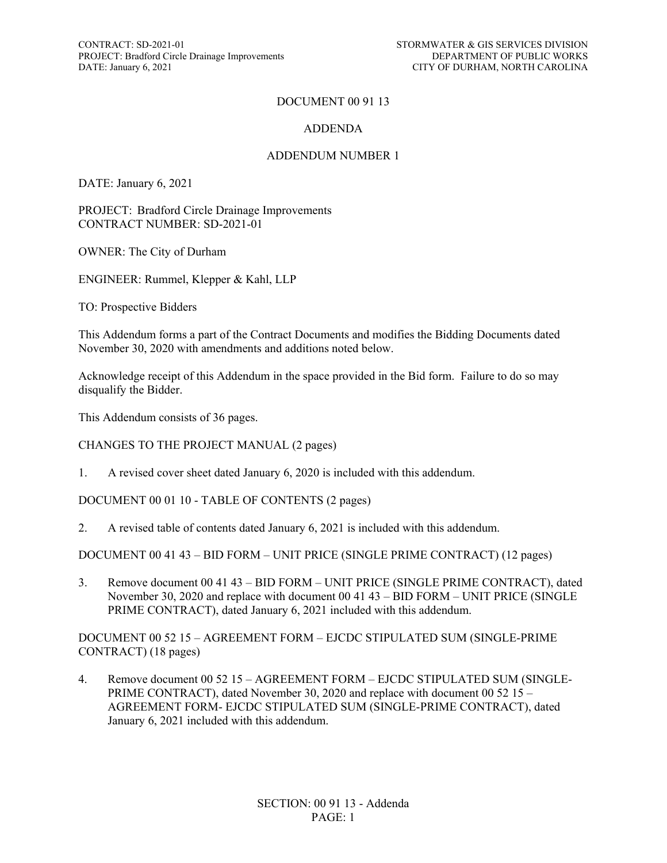CONTRACT: SD-2021-01 STORMWATER & GIS SERVICES DIVISION<br>PROJECT: Bradford Circle Drainage Improvements DEPARTMENT OF PUBLIC WORKS PROJECT: Bradford Circle Drainage Improvements DATE: January 6, 2021

#### DOCUMENT 00 91 13

#### ADDENDA

#### ADDENDUM NUMBER 1

DATE: January 6, 2021

PROJECT: Bradford Circle Drainage Improvements CONTRACT NUMBER: SD-2021-01

OWNER: The City of Durham

ENGINEER: Rummel, Klepper & Kahl, LLP

TO: Prospective Bidders

This Addendum forms a part of the Contract Documents and modifies the Bidding Documents dated November 30, 2020 with amendments and additions noted below.

Acknowledge receipt of this Addendum in the space provided in the Bid form. Failure to do so may disqualify the Bidder.

This Addendum consists of 36 pages.

CHANGES TO THE PROJECT MANUAL (2 pages)

1. A revised cover sheet dated January 6, 2020 is included with this addendum.

DOCUMENT 00 01 10 - TABLE OF CONTENTS (2 pages)

2. A revised table of contents dated January 6, 2021 is included with this addendum.

DOCUMENT 00 41 43 – BID FORM – UNIT PRICE (SINGLE PRIME CONTRACT) (12 pages)

3. Remove document 00 41 43 – BID FORM – UNIT PRICE (SINGLE PRIME CONTRACT), dated November 30, 2020 and replace with document 00 41 43 – BID FORM – UNIT PRICE (SINGLE PRIME CONTRACT), dated January 6, 2021 included with this addendum.

DOCUMENT 00 52 15 – AGREEMENT FORM – EJCDC STIPULATED SUM (SINGLE-PRIME CONTRACT) (18 pages)

4. Remove document 00 52 15 – AGREEMENT FORM – EJCDC STIPULATED SUM (SINGLE-PRIME CONTRACT), dated November 30, 2020 and replace with document 00 52 15 – AGREEMENT FORM- EJCDC STIPULATED SUM (SINGLE-PRIME CONTRACT), dated January 6, 2021 included with this addendum.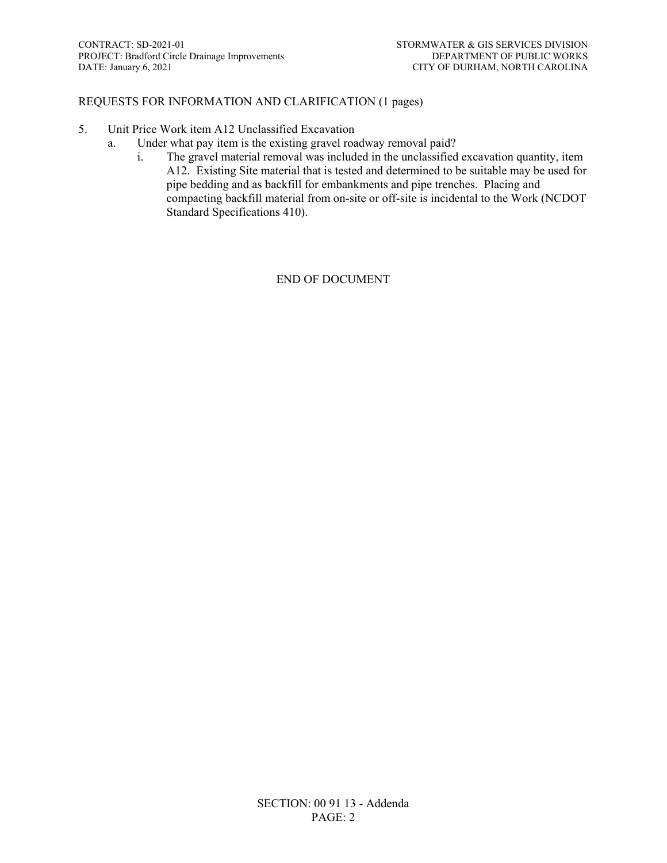#### REQUESTS FOR INFORMATION AND CLARIFICATION (1 pages)

- 5. Unit Price Work item A12 Unclassified Excavation
	- a. Under what pay item is the existing gravel roadway removal paid?
		- i. The gravel material removal was included in the unclassified excavation quantity, item A12. Existing Site material that is tested and determined to be suitable may be used for pipe bedding and as backfill for embankments and pipe trenches. Placing and compacting backfill material from on-site or off-site is incidental to the Work (NCDOT Standard Specifications 410).

END OF DOCUMENT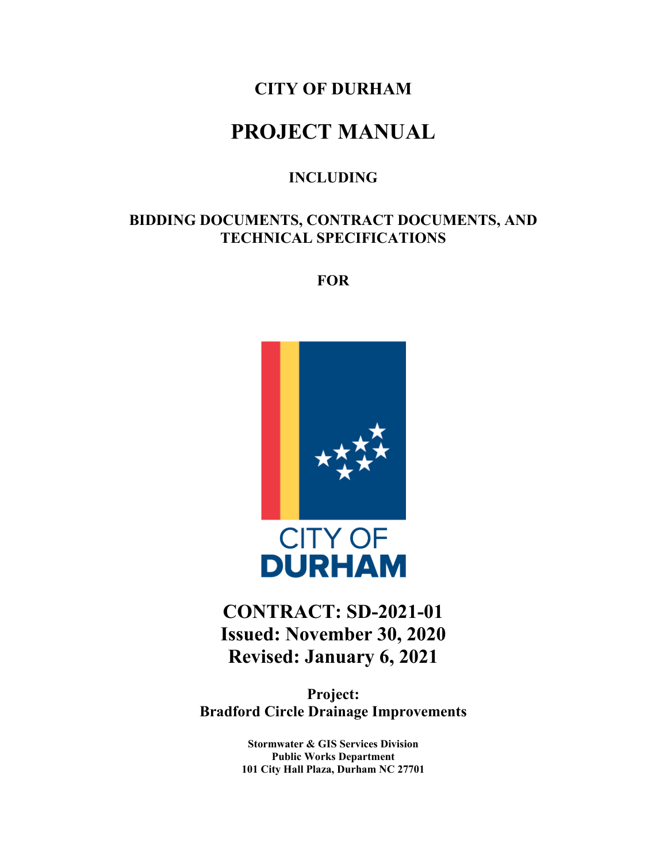# **CITY OF DURHAM**

# **PROJECT MANUAL**

## **INCLUDING**

# **BIDDING DOCUMENTS, CONTRACT DOCUMENTS, AND TECHNICAL SPECIFICATIONS**

**FOR**



# **CONTRACT: SD-2021-01 Issued: November 30, 2020 Revised: January 6, 2021**

**Project: Bradford Circle Drainage Improvements**

> **Stormwater & GIS Services Division Public Works Department 101 City Hall Plaza, Durham NC 27701**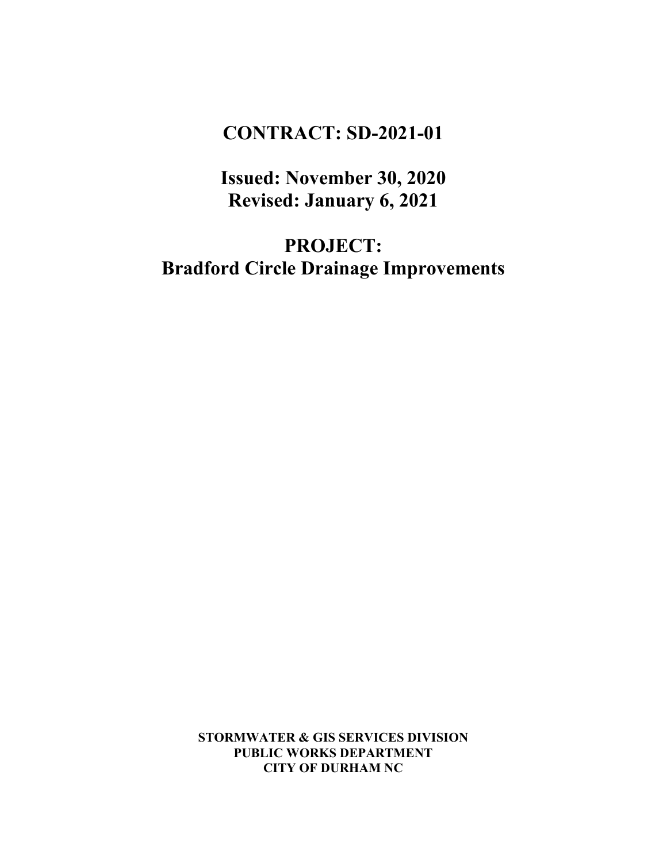# **CONTRACT: SD-2021-01**

**Issued: November 30, 2020 Revised: January 6, 2021**

**PROJECT: Bradford Circle Drainage Improvements**

> **STORMWATER & GIS SERVICES DIVISION PUBLIC WORKS DEPARTMENT CITY OF DURHAM NC**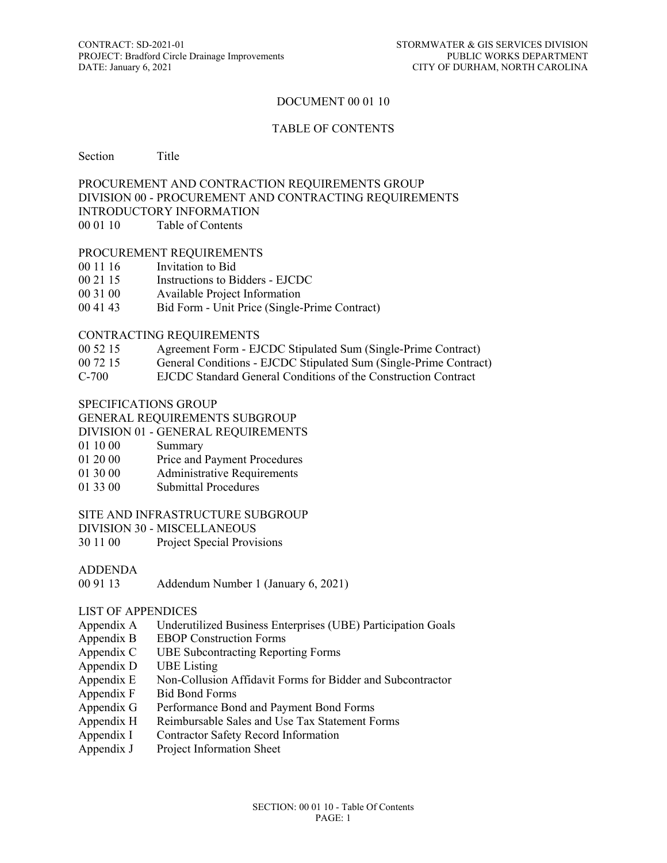#### DOCUMENT 00 01 10

#### TABLE OF CONTENTS

#### Section Title

#### PROCUREMENT AND CONTRACTION REQUIREMENTS GROUP DIVISION 00 - PROCUREMENT AND CONTRACTING REQUIREMENTS INTRODUCTORY INFORMATION 00 01 10 Table of Contents

# PROCUREMENT REQUIREMENTS

- 00 11 16 Invitation to Bid
- 00 21 15 Instructions to Bidders EJCDC
- 00 31 00 Available Project Information
- 00 41 43 Bid Form Unit Price (Single-Prime Contract)

#### CONTRACTING REQUIREMENTS

- 00 52 15 Agreement Form EJCDC Stipulated Sum (Single-Prime Contract)
- 00 72 15 General Conditions EJCDC Stipulated Sum (Single-Prime Contract)
- C-700 EJCDC Standard General Conditions of the Construction Contract

#### SPECIFICATIONS GROUP

#### GENERAL REQUIREMENTS SUBGROUP

- DIVISION 01 GENERAL REQUIREMENTS
- 01 10 00 Summary
- 01 20 00 Price and Payment Procedures
- 01 30 00 Administrative Requirements
- 01 33 00 Submittal Procedures

#### SITE AND INFRASTRUCTURE SUBGROUP

DIVISION 30 - MISCELLANEOUS

- 30 11 00 Project Special Provisions
- ADDENDA
- 00 91 13 Addendum Number 1 (January 6, 2021)

#### LIST OF APPENDICES

- Appendix A Underutilized Business Enterprises (UBE) Participation Goals
- Appendix B EBOP Construction Forms
- Appendix C UBE Subcontracting Reporting Forms
- Appendix D UBE Listing
- Appendix E Non-Collusion Affidavit Forms for Bidder and Subcontractor<br>Appendix F Bid Bond Forms
- **Bid Bond Forms**
- Appendix G Performance Bond and Payment Bond Forms
- Appendix H Reimbursable Sales and Use Tax Statement Forms
- Appendix I Contractor Safety Record Information
- Appendix J Project Information Sheet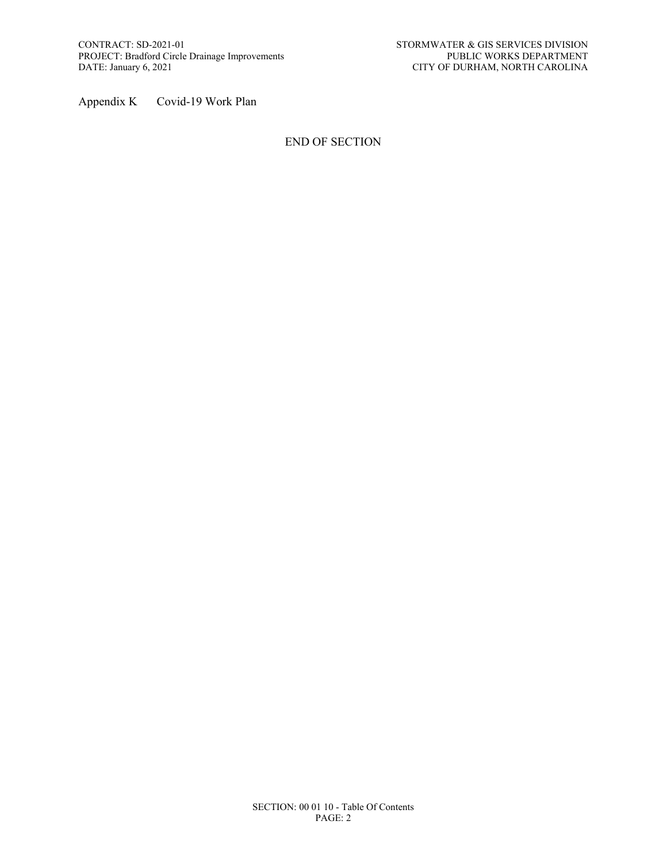Appendix K Covid-19 Work Plan

#### END OF SECTION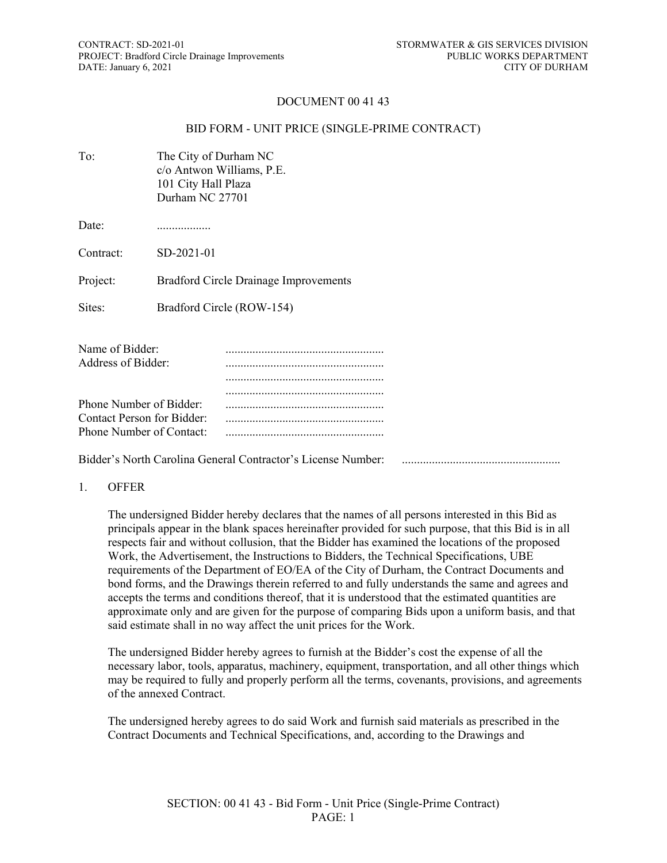#### DOCUMENT 00 41 43

#### BID FORM - UNIT PRICE (SINGLE-PRIME CONTRACT)

| To:                                                   | The City of Durham NC<br>c/o Antwon Williams, P.E.<br>101 City Hall Plaza<br>Durham NC 27701 |                                              |
|-------------------------------------------------------|----------------------------------------------------------------------------------------------|----------------------------------------------|
| Date:                                                 |                                                                                              |                                              |
| Contract:                                             | SD-2021-01                                                                                   |                                              |
| Project:                                              |                                                                                              | <b>Bradford Circle Drainage Improvements</b> |
| Sites:                                                |                                                                                              | Bradford Circle (ROW-154)                    |
| Name of Bidder:<br>Address of Bidder:                 |                                                                                              |                                              |
| Phone Number of Bidder:<br>Contact Person for Bidder: |                                                                                              |                                              |

Bidder's North Carolina General Contractor's License Number: .....................................................

Phone Number of Contact: .....................................................

#### 1. OFFER

The undersigned Bidder hereby declares that the names of all persons interested in this Bid as principals appear in the blank spaces hereinafter provided for such purpose, that this Bid is in all respects fair and without collusion, that the Bidder has examined the locations of the proposed Work, the Advertisement, the Instructions to Bidders, the Technical Specifications, UBE requirements of the Department of EO/EA of the City of Durham, the Contract Documents and bond forms, and the Drawings therein referred to and fully understands the same and agrees and accepts the terms and conditions thereof, that it is understood that the estimated quantities are approximate only and are given for the purpose of comparing Bids upon a uniform basis, and that said estimate shall in no way affect the unit prices for the Work.

The undersigned Bidder hereby agrees to furnish at the Bidder's cost the expense of all the necessary labor, tools, apparatus, machinery, equipment, transportation, and all other things which may be required to fully and properly perform all the terms, covenants, provisions, and agreements of the annexed Contract.

The undersigned hereby agrees to do said Work and furnish said materials as prescribed in the Contract Documents and Technical Specifications, and, according to the Drawings and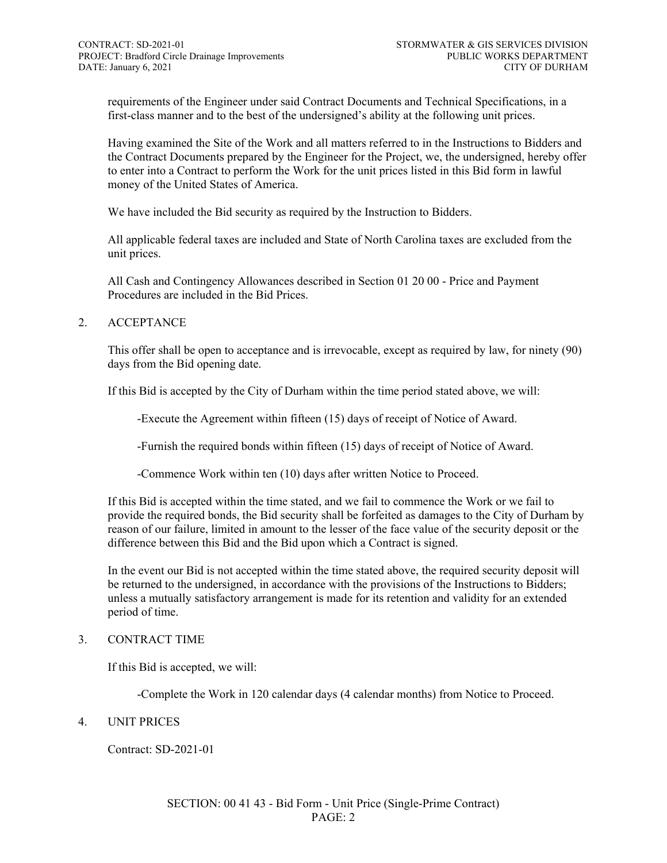requirements of the Engineer under said Contract Documents and Technical Specifications, in a first-class manner and to the best of the undersigned's ability at the following unit prices.

Having examined the Site of the Work and all matters referred to in the Instructions to Bidders and the Contract Documents prepared by the Engineer for the Project, we, the undersigned, hereby offer to enter into a Contract to perform the Work for the unit prices listed in this Bid form in lawful money of the United States of America.

We have included the Bid security as required by the Instruction to Bidders.

All applicable federal taxes are included and State of North Carolina taxes are excluded from the unit prices.

All Cash and Contingency Allowances described in Section 01 20 00 - Price and Payment Procedures are included in the Bid Prices.

#### 2. ACCEPTANCE

This offer shall be open to acceptance and is irrevocable, except as required by law, for ninety (90) days from the Bid opening date.

If this Bid is accepted by the City of Durham within the time period stated above, we will:

-Execute the Agreement within fifteen (15) days of receipt of Notice of Award.

-Furnish the required bonds within fifteen (15) days of receipt of Notice of Award.

-Commence Work within ten (10) days after written Notice to Proceed.

If this Bid is accepted within the time stated, and we fail to commence the Work or we fail to provide the required bonds, the Bid security shall be forfeited as damages to the City of Durham by reason of our failure, limited in amount to the lesser of the face value of the security deposit or the difference between this Bid and the Bid upon which a Contract is signed.

In the event our Bid is not accepted within the time stated above, the required security deposit will be returned to the undersigned, in accordance with the provisions of the Instructions to Bidders; unless a mutually satisfactory arrangement is made for its retention and validity for an extended period of time.

#### 3. CONTRACT TIME

If this Bid is accepted, we will:

-Complete the Work in 120 calendar days (4 calendar months) from Notice to Proceed.

#### 4. UNIT PRICES

Contract: SD-2021-01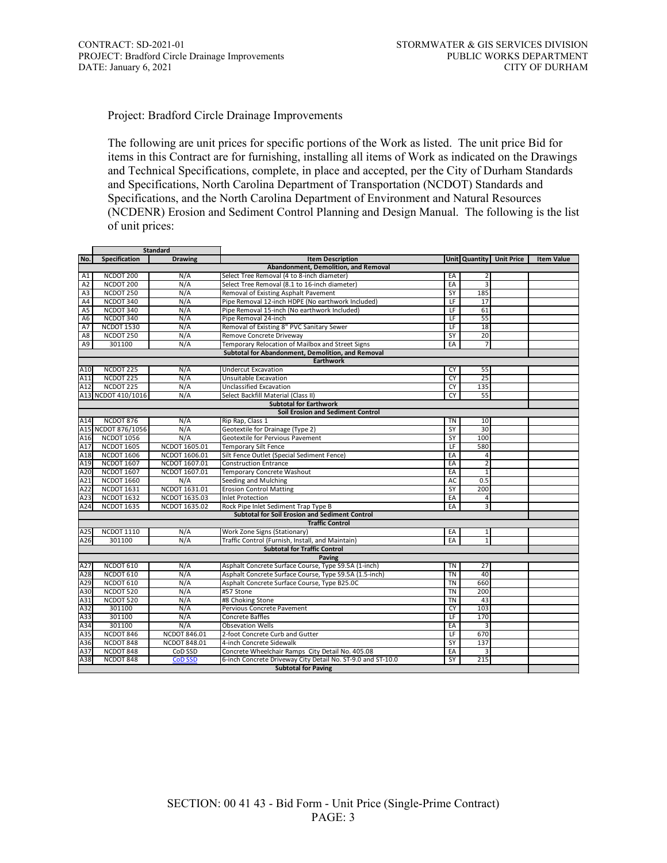Project: Bradford Circle Drainage Improvements

The following are unit prices for specific portions of the Work as listed. The unit price Bid for items in this Contract are for furnishing, installing all items of Work as indicated on the Drawings and Technical Specifications, complete, in place and accepted, per the City of Durham Standards and Specifications, North Carolina Department of Transportation (NCDOT) Standards and Specifications, and the North Carolina Department of Environment and Natural Resources (NCDENR) Erosion and Sediment Control Planning and Design Manual. The following is the list of unit prices:

| <b>Standard</b> |                      |                     |                                                             |                 |                 |                          |                   |
|-----------------|----------------------|---------------------|-------------------------------------------------------------|-----------------|-----------------|--------------------------|-------------------|
| No.             | Specification        | <b>Drawing</b>      | <b>Item Description</b>                                     |                 |                 | Unit Quantity Unit Price | <b>Item Value</b> |
|                 |                      |                     | Abandonment, Demolition, and Removal                        |                 |                 |                          |                   |
| A1              | NCDOT 200            | N/A                 | Select Tree Removal (4 to 8-inch diameter)                  | EA              | 2               |                          |                   |
| A2              | NCDOT 200            | N/A                 | Select Tree Removal (8.1 to 16-inch diameter)               | EA              | 3               |                          |                   |
| A <sub>3</sub>  | NCDOT 250            | N/A                 | Removal of Existing Asphalt Pavement                        | SY              | 185             |                          |                   |
| A4              | NCDOT 340            | N/A                 | Pipe Removal 12-inch HDPE (No earthwork Included)           | LF              | 17              |                          |                   |
| A5              | NCDOT 340            | N/A                 | Pipe Removal 15-inch (No earthwork Included)                | LF              | 61              |                          |                   |
| A <sub>6</sub>  | NCDOT 340            | N/A                 | Pipe Removal 24-inch                                        | LF              | 55              |                          |                   |
| A7              | <b>NCDOT 1530</b>    | N/A                 | Removal of Existing 8" PVC Sanitary Sewer                   | LF              | 18              |                          |                   |
| A8              | NCDOT 250            | N/A                 | Remove Concrete Driveway                                    | SY              | 20              |                          |                   |
| A9              | 301100               | N/A                 | Temporary Relocation of Mailbox and Street Signs            | EA              | $\overline{7}$  |                          |                   |
|                 |                      |                     | Subtotal for Abandonment, Demolition, and Removal           |                 |                 |                          |                   |
|                 |                      |                     | <b>Earthwork</b>                                            |                 |                 |                          |                   |
| A10             | NCDOT 225            | N/A                 | <b>Undercut Excavation</b>                                  | CY              | 55              |                          |                   |
| A11             | NCDOT 225            | N/A                 | Unsuitable Excavation                                       | <b>CY</b>       | $\overline{25}$ |                          |                   |
| A12             | NCDOT <sub>225</sub> | N/A                 | Unclassified Excavation                                     | <b>CY</b>       | 135             |                          |                   |
|                 | A13 NCDOT 410/1016   | N/A                 | Select Backfill Material (Class II)                         | <b>CY</b>       | 55              |                          |                   |
|                 |                      |                     | <b>Subtotal for Earthwork</b>                               |                 |                 |                          |                   |
|                 |                      |                     | Soil Erosion and Sediment Control                           |                 |                 |                          |                   |
| A14             | NCDOT 876            | N/A                 | Rip Rap, Class 1                                            | <b>TN</b>       | 10              |                          |                   |
|                 | A15 NCDOT 876/1056   | N/A                 | Geotextile for Drainage (Type 2)                            | SY              | 30              |                          |                   |
| A16             | <b>NCDOT 1056</b>    | N/A                 | Geotextile for Pervious Pavement                            | SY              | 100             |                          |                   |
| A17             | <b>NCDOT 1605</b>    | NCDOT 1605.01       | <b>Temporary Silt Fence</b>                                 | LF              | 580             |                          |                   |
| A18             | <b>NCDOT 1606</b>    | NCDOT 1606.01       | Silt Fence Outlet (Special Sediment Fence)                  | EA              | 4               |                          |                   |
| A19             | <b>NCDOT 1607</b>    | NCDOT 1607.01       | <b>Construction Entrance</b>                                | EA              | $\overline{2}$  |                          |                   |
| A20             | <b>NCDOT 1607</b>    | NCDOT 1607.01       | Temporary Concrete Washout                                  | EA              | $\mathbf{1}$    |                          |                   |
| A21             | <b>NCDOT 1660</b>    | N/A                 | Seeding and Mulching                                        | <b>AC</b>       | 0.5             |                          |                   |
| A22             | <b>NCDOT 1631</b>    | NCDOT 1631.01       | <b>Erosion Control Matting</b>                              | SY              | 200             |                          |                   |
| A23             | <b>NCDOT 1632</b>    | NCDOT 1635.03       | <b>Inlet Protection</b>                                     | EA              | 4               |                          |                   |
| A24             | <b>NCDOT 1635</b>    | NCDOT 1635.02       | Rock Pipe Inlet Sediment Trap Type B                        | EA              | 3               |                          |                   |
|                 |                      |                     | <b>Subtotal for Soil Erosion and Sediment Control</b>       |                 |                 |                          |                   |
|                 |                      |                     | <b>Traffic Control</b>                                      |                 |                 |                          |                   |
| A25             | <b>NCDOT 1110</b>    | N/A                 | Work Zone Signs (Stationary)                                | EA              | $\mathbf{1}$    |                          |                   |
| A26             | 301100               | N/A                 | Traffic Control (Furnish, Install, and Maintain)            | EA              | $\overline{1}$  |                          |                   |
|                 |                      |                     | <b>Subtotal for Traffic Control</b>                         |                 |                 |                          |                   |
|                 |                      |                     | Paving                                                      |                 |                 |                          |                   |
| A27             | NCDOT 610            | N/A                 | Asphalt Concrete Surface Course, Type S9.5A (1-inch)        | TN              | 27              |                          |                   |
| A28             | NCDOT 610            | N/A                 | Asphalt Concrete Surface Course, Type S9.5A (1.5-inch)      | <b>TN</b>       | 40              |                          |                   |
|                 | NCDOT 610            | N/A                 |                                                             |                 |                 |                          |                   |
| A29             |                      |                     | Asphalt Concrete Surface Course, Type B25.0C                | <b>TN</b>       | 660             |                          |                   |
| A30             | NCDOT 520            | N/A                 | #57 Stone                                                   | <b>TN</b>       | 200             |                          |                   |
| A31             | NCDOT 520            | N/A                 | #8 Choking Stone                                            | <b>TN</b>       | 43              |                          |                   |
| A32             | 301100               | N/A                 | Pervious Concrete Pavement                                  | <b>CY</b>       | 103             |                          |                   |
| A33             | 301100               | N/A                 | <b>Concrete Baffles</b>                                     | $\overline{LF}$ | 170             |                          |                   |
| A34             | 301100               | N/A                 | <b>Obsevation Wells</b>                                     | EA              | 3               |                          |                   |
| A35             | NCDOT 846            | <b>NCDOT 846.01</b> | 2-foot Concrete Curb and Gutter                             | LF              | 670             |                          |                   |
| A36             | NCDOT 848            | <b>NCDOT 848.01</b> | 4-inch Concrete Sidewalk                                    | SY              | 137             |                          |                   |
| A37             | NCDOT 848            | CoD SSD             | Concrete Wheelchair Ramps City Detail No. 405.08            | EA              | 3               |                          |                   |
| A38             | NCDOT 848            | <b>CoD SSD</b>      | 6-inch Concrete Driveway City Detail No. ST-9.0 and ST-10.0 | SY              | 215             |                          |                   |
|                 |                      |                     | <b>Subtotal for Paving</b>                                  |                 |                 |                          |                   |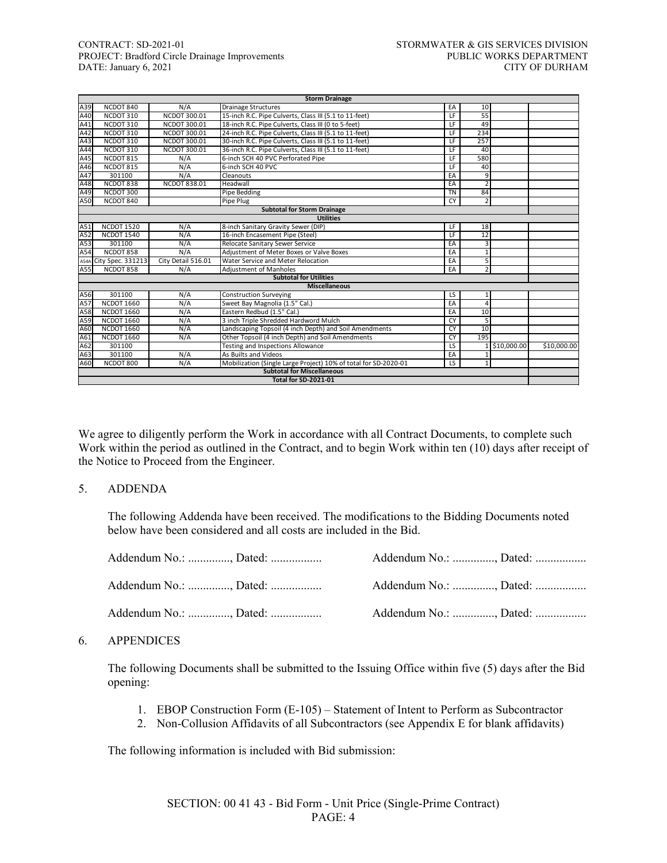#### CONTRACT: SD-2021-01 STORMWATER & GIS SERVICES DIVISION PROJECT: Bradford Circle Drainage Improvements PUBLIC WORKS DEPARTMENT<br>DATE: January 6, 2021 CITY OF DURHAM DATE: January 6, 2021

|      |                   |                     | <b>Storm Drainage</b>                                           |                          |                |             |             |
|------|-------------------|---------------------|-----------------------------------------------------------------|--------------------------|----------------|-------------|-------------|
| A39  | NCDOT 840         | N/A                 | <b>Drainage Structures</b>                                      | EA                       | 10             |             |             |
| A40  | NCDOT 310         | NCDOT 300.01        | 15-inch R.C. Pipe Culverts, Class III (5.1 to 11-feet)          | LF                       | 55             |             |             |
| A41  | NCDOT 310         | NCDOT 300.01        | 18-inch R.C. Pipe Culverts, Class III (0 to 5-feet)             | LF.                      | 49             |             |             |
| A42  | NCDOT 310         | NCDOT 300.01        | 24-inch R.C. Pipe Culverts, Class III (5.1 to 11-feet)          | LF                       | 234            |             |             |
| A43  | NCDOT 310         | NCDOT 300.01        | 30-inch R.C. Pipe Culverts, Class III (5.1 to 11-feet)          | E                        | 257            |             |             |
| A44  | NCDOT 310         | NCDOT 300.01        | 36-inch R.C. Pipe Culverts, Class III (5.1 to 11-feet)          | LF                       | 40             |             |             |
| A45  | NCDOT 815         | N/A                 | 6-inch SCH 40 PVC Perforated Pipe                               | LF                       | 580            |             |             |
| A46  | NCDOT 815         | N/A                 | 6-inch SCH 40 PVC                                               | $\overline{LF}$          | 40             |             |             |
| A47  | 301100            | N/A                 | Cleanouts                                                       | EA                       | 9              |             |             |
| A48  | NCDOT 838         | <b>NCDOT 838.01</b> | Headwall                                                        | EA                       | $\mathcal{P}$  |             |             |
| A49  | NCDOT 300         |                     | Pipe Bedding                                                    | <b>TN</b>                | 84             |             |             |
| A50  | NCDOT 840         |                     | Pipe Plug                                                       | <b>CY</b>                | $\overline{2}$ |             |             |
|      |                   |                     | <b>Subtotal for Storm Drainage</b>                              |                          |                |             |             |
|      |                   |                     | <b>Utilities</b>                                                |                          |                |             |             |
| A51  | <b>NCDOT 1520</b> | N/A                 | 8-inch Sanitary Gravity Sewer (DIP)                             | $\overline{\mathsf{LF}}$ | 18             |             |             |
| A52  | <b>NCDOT 1540</b> | N/A                 | 16-inch Encasement Pipe (Steel)                                 | $\overline{LF}$          | 12             |             |             |
| A53  | 301100            | N/A                 | Relocate Sanitary Sewer Service                                 | EA                       | 3              |             |             |
| A54  | NCDOT 858         | N/A                 | Adjustment of Meter Boxes or Valve Boxes                        | EA                       | $\mathbf{1}$   |             |             |
| A54A | City Spec. 331213 | City Detail 516.01  | Water Service and Meter Relocation                              | EA                       | 5              |             |             |
| A55  | NCDOT 858         | N/A                 | <b>Adjustment of Manholes</b>                                   | EA                       | $\overline{2}$ |             |             |
|      |                   |                     | <b>Subtotal for Utilities</b>                                   |                          |                |             |             |
|      |                   |                     | <b>Miscellaneous</b>                                            |                          |                |             |             |
| A56  | 301100            | N/A                 | <b>Construction Surveying</b>                                   | LS                       | 1              |             |             |
| A57  | <b>NCDOT 1660</b> | N/A                 | Sweet Bay Magnolia (1.5" Cal.)                                  | EA                       | 4              |             |             |
| A58  | <b>NCDOT 1660</b> | N/A                 | Eastern Redbud (1.5" Cal.)                                      | EA                       | 10             |             |             |
| A59  | <b>NCDOT 1660</b> | N/A                 | 3 inch Triple Shredded Hardword Mulch                           | <b>CY</b>                | 5              |             |             |
| A60  | <b>NCDOT 1660</b> | N/A                 | Landscaping Topsoil (4 inch Depth) and Soil Amendments          | CY                       | 10             |             |             |
| A61  | <b>NCDOT 1660</b> | N/A                 | Other Topsoil (4 inch Depth) and Soil Amendments                | <b>CY</b>                | 195            |             |             |
| A62  | 301100            |                     | Testing and Inspections Allowance                               | LS                       |                | \$10,000.00 | \$10,000.00 |
| A63  | 301100            | N/A                 | As Builts and Videos                                            | EA                       |                |             |             |
| A60  | NCDOT 800         | N/A                 | Mobilization (Single Large Project) 10% of total for SD-2020-01 | LS                       | $\mathbf{1}$   |             |             |
|      |                   |                     | <b>Subtotal for Miscellaneous</b>                               |                          |                |             |             |
|      |                   |                     | <b>Total for SD-2021-01</b>                                     |                          |                |             |             |

We agree to diligently perform the Work in accordance with all Contract Documents, to complete such Work within the period as outlined in the Contract, and to begin Work within ten (10) days after receipt of the Notice to Proceed from the Engineer.

#### 5. ADDENDA

The following Addenda have been received. The modifications to the Bidding Documents noted below have been considered and all costs are included in the Bid.

| Addendum No.: , Dated: | Addendum No.: , Dated: |  |
|------------------------|------------------------|--|
| Addendum No.: , Dated: | Addendum No.: , Dated: |  |
| Addendum No.: , Dated: | Addendum No.: , Dated: |  |

#### 6. APPENDICES

The following Documents shall be submitted to the Issuing Office within five (5) days after the Bid opening:

- 1. EBOP Construction Form (E-105) Statement of Intent to Perform as Subcontractor
- 2. Non-Collusion Affidavits of all Subcontractors (see Appendix E for blank affidavits)

The following information is included with Bid submission: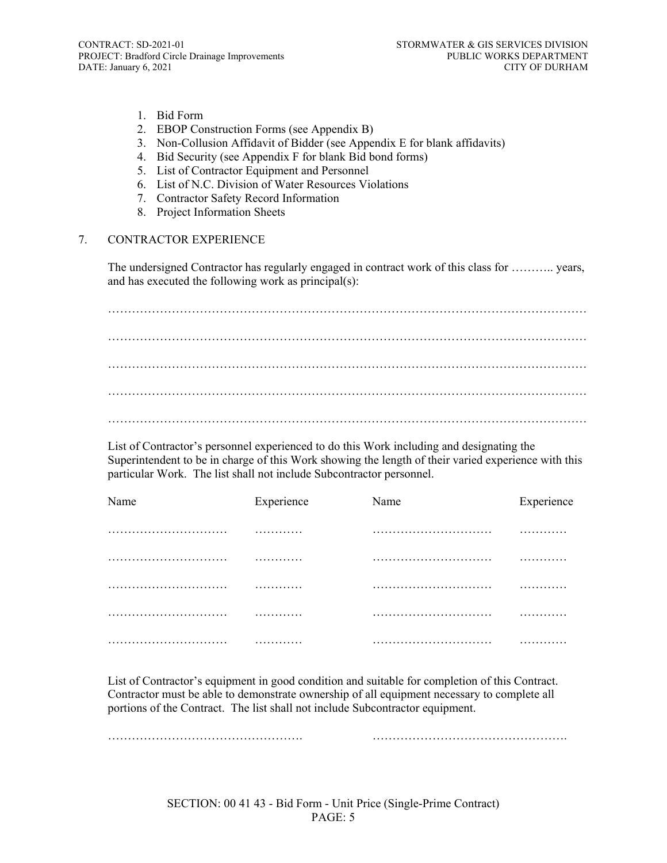- 1. Bid Form
- 2. EBOP Construction Forms (see Appendix B)
- 3. Non-Collusion Affidavit of Bidder (see Appendix E for blank affidavits)
- 4. Bid Security (see Appendix F for blank Bid bond forms)
- 5. List of Contractor Equipment and Personnel
- 6. List of N.C. Division of Water Resources Violations
- 7. Contractor Safety Record Information
- 8. Project Information Sheets

#### 7. CONTRACTOR EXPERIENCE

The undersigned Contractor has regularly engaged in contract work of this class for ……….. years, and has executed the following work as principal(s):

………………………………………………………………………………………………………… ………………………………………………………………………………………………………… ………………………………………………………………………………………………………… ………………………………………………………………………………………………………… …………………………………………………………………………………………………………

List of Contractor's personnel experienced to do this Work including and designating the Superintendent to be in charge of this Work showing the length of their varied experience with this particular Work. The list shall not include Subcontractor personnel.

| Name | Experience | Name | Experience |
|------|------------|------|------------|
|      | .          |      | .          |
|      | .          |      | .          |
|      | .          |      | .          |
|      | .          |      | .          |
|      | .          |      | .          |

List of Contractor's equipment in good condition and suitable for completion of this Contract. Contractor must be able to demonstrate ownership of all equipment necessary to complete all portions of the Contract. The list shall not include Subcontractor equipment.

…………………………………………. ………………………………………….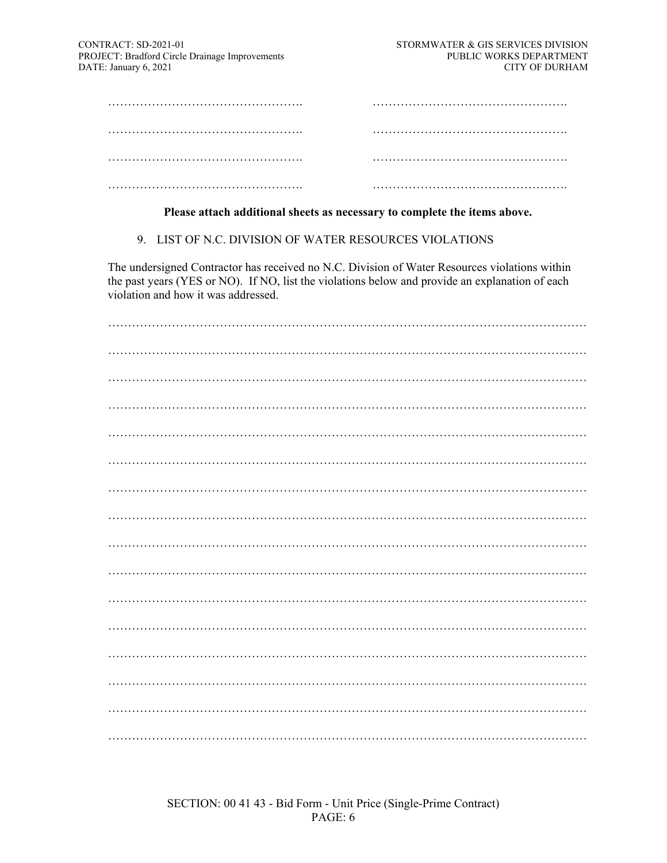### **Please attach additional sheets as necessary to complete the items above.**

9. LIST OF N.C. DIVISION OF WATER RESOURCES VIOLATIONS

The undersigned Contractor has received no N.C. Division of Water Resources violations within the past years (YES or NO). If NO, list the violations below and provide an explanation of each violation and how it was addressed.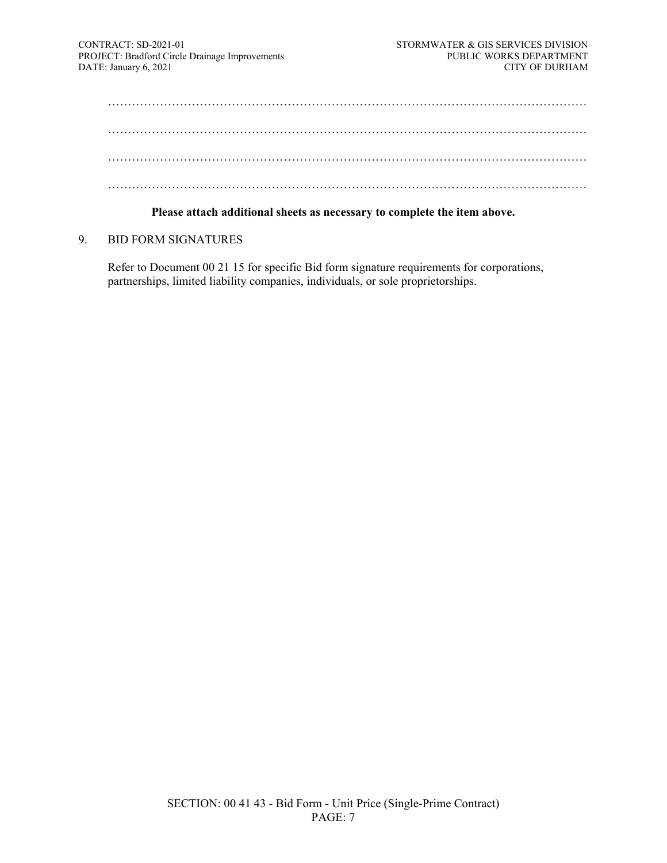………………………………………………………………………………………………………… ………………………………………………………………………………………………………… ………………………………………………………………………………………………………… …………………………………………………………………………………………………………

#### **Please attach additional sheets as necessary to complete the item above.**

9. BID FORM SIGNATURES

Refer to Document 00 21 15 for specific Bid form signature requirements for corporations, partnerships, limited liability companies, individuals, or sole proprietorships.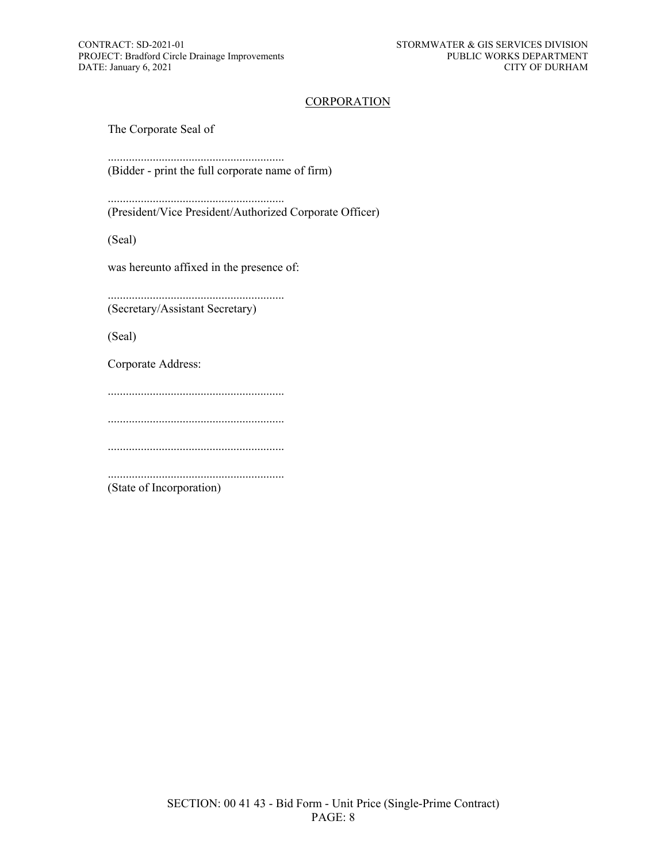#### **CORPORATION**

The Corporate Seal of

........................................................... (Bidder - print the full corporate name of firm)

........................................................... (President/Vice President/Authorized Corporate Officer)

(Seal)

was hereunto affixed in the presence of:

........................................................... (Secretary/Assistant Secretary)

(Seal)

Corporate Address:

...........................................................

...........................................................

...........................................................

........................................................... (State of Incorporation)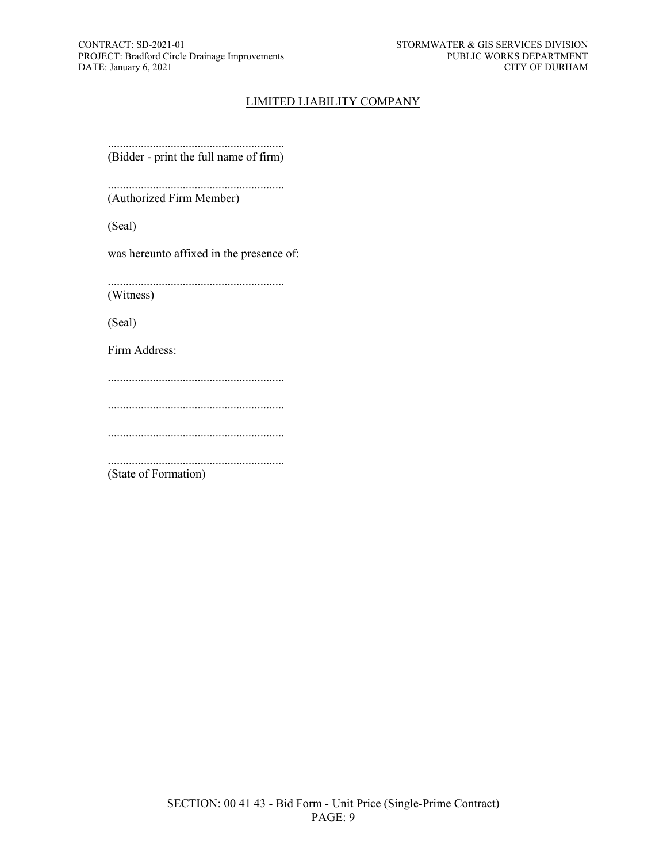#### LIMITED LIABILITY COMPANY

........................................................... (Bidder - print the full name of firm)

........................................................... (Authorized Firm Member)

(Seal)

was hereunto affixed in the presence of:

........................................................... (Witness)

(Seal)

Firm Address:

...........................................................

...........................................................

...........................................................

...........................................................

(State of Formation)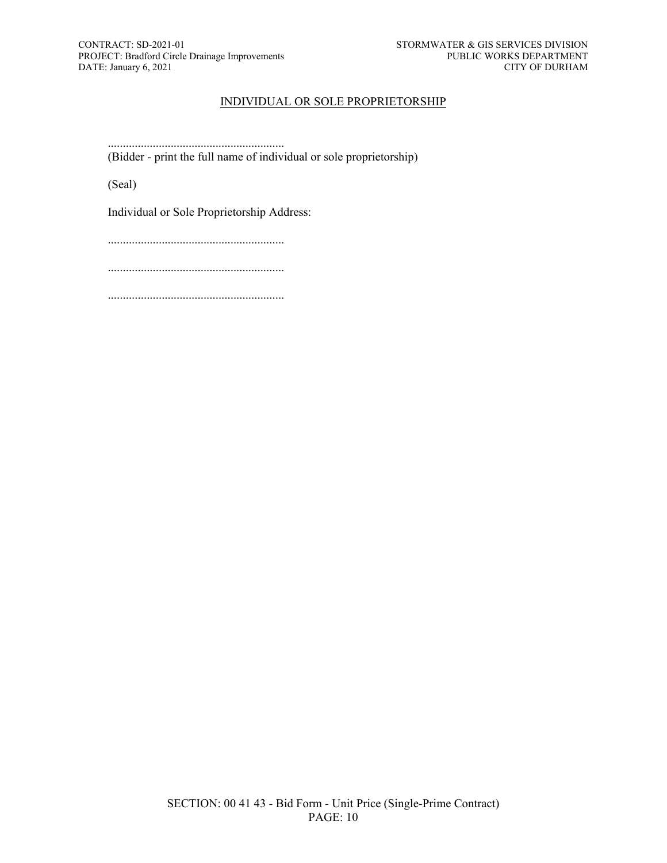#### INDIVIDUAL OR SOLE PROPRIETORSHIP

........................................................... (Bidder - print the full name of individual or sole proprietorship)

(Seal)

Individual or Sole Proprietorship Address:

...........................................................

...........................................................

...........................................................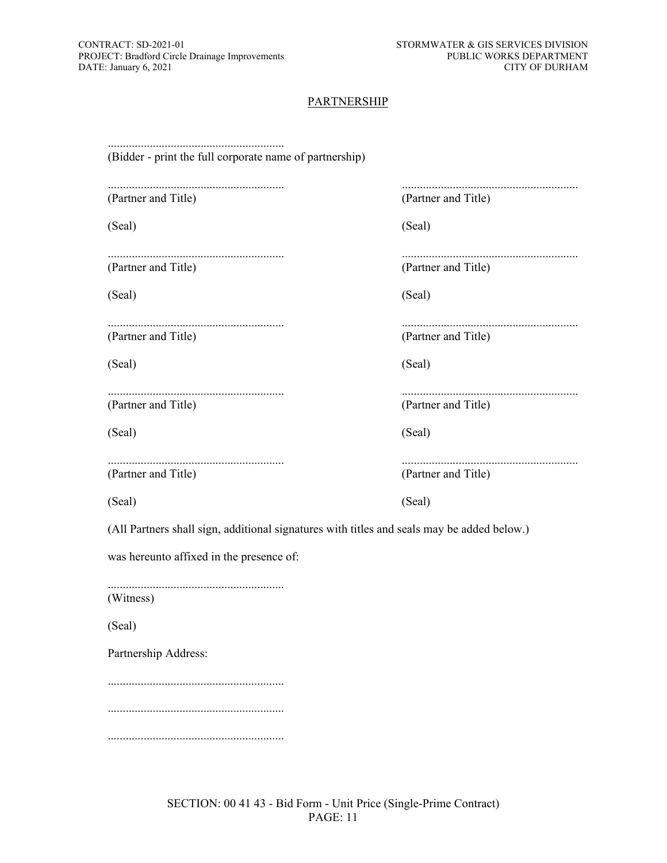#### **PARTNERSHIP**

| (Bidder - print the full corporate name of partnership)                                    |                     |
|--------------------------------------------------------------------------------------------|---------------------|
| (Partner and Title)                                                                        | (Partner and Title) |
| (Seal)                                                                                     | (Seal)              |
| (Partner and Title)                                                                        | (Partner and Title) |
| (Seal)                                                                                     | (Seal)              |
| (Partner and Title)                                                                        | (Partner and Title) |
| (Seal)                                                                                     | (Seal)              |
| (Partner and Title)                                                                        | (Partner and Title) |
| (Seal)                                                                                     | (Seal)              |
|                                                                                            |                     |
| (Partner and Title)                                                                        | (Partner and Title) |
| (Seal)                                                                                     | (Seal)              |
| (All Partners shall sign, additional signatures with titles and seals may be added below.) |                     |
| was hereunto affixed in the presence of:                                                   |                     |
| (Witness)                                                                                  |                     |
| (Seal)                                                                                     |                     |
| Partnership Address:                                                                       |                     |
|                                                                                            |                     |
|                                                                                            |                     |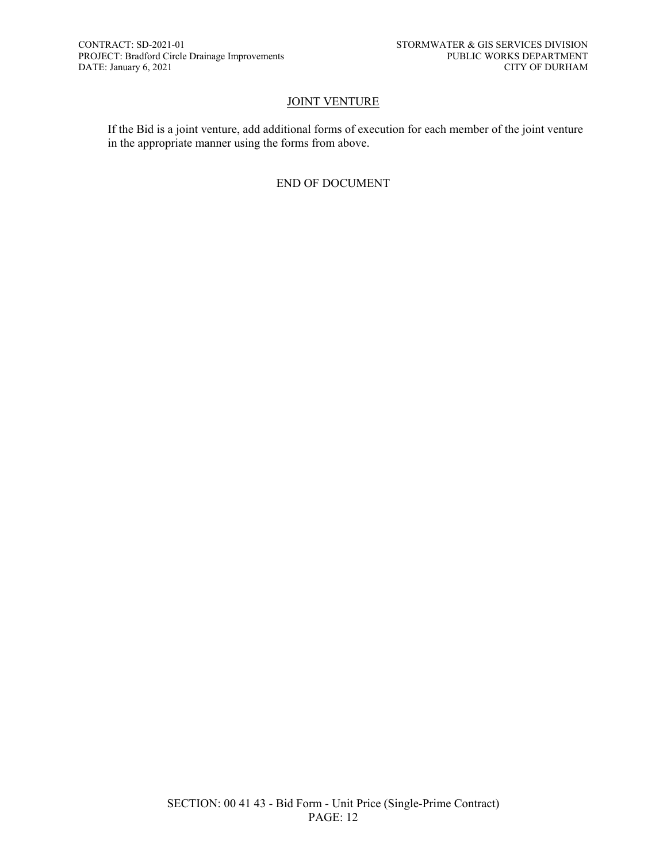#### **JOINT VENTURE**

If the Bid is a joint venture, add additional forms of execution for each member of the joint venture in the appropriate manner using the forms from above.

#### END OF DOCUMENT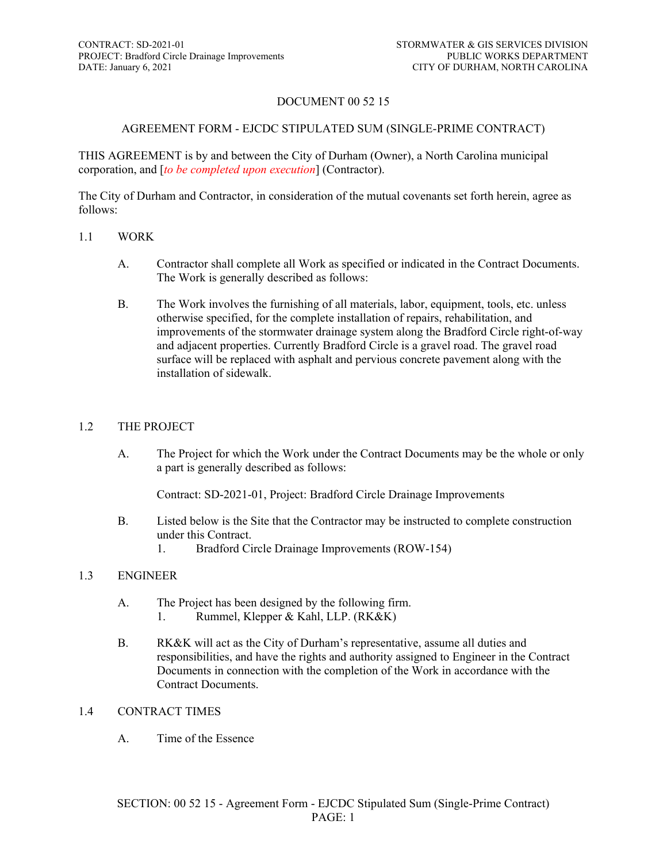### DOCUMENT 00 52 15

#### AGREEMENT FORM - EJCDC STIPULATED SUM (SINGLE-PRIME CONTRACT)

THIS AGREEMENT is by and between the City of Durham (Owner), a North Carolina municipal corporation, and [*to be completed upon execution*] (Contractor).

The City of Durham and Contractor, in consideration of the mutual covenants set forth herein, agree as follows:

#### 1.1 WORK

- A. Contractor shall complete all Work as specified or indicated in the Contract Documents. The Work is generally described as follows:
- B. The Work involves the furnishing of all materials, labor, equipment, tools, etc. unless otherwise specified, for the complete installation of repairs, rehabilitation, and improvements of the stormwater drainage system along the Bradford Circle right-of-way and adjacent properties. Currently Bradford Circle is a gravel road. The gravel road surface will be replaced with asphalt and pervious concrete pavement along with the installation of sidewalk.

#### 1.2 THE PROJECT

A. The Project for which the Work under the Contract Documents may be the whole or only a part is generally described as follows:

Contract: SD-2021-01, Project: Bradford Circle Drainage Improvements

- B. Listed below is the Site that the Contractor may be instructed to complete construction under this Contract.
	- 1. Bradford Circle Drainage Improvements (ROW-154)

#### 1.3 ENGINEER

- A. The Project has been designed by the following firm.
	- 1. Rummel, Klepper & Kahl, LLP. (RK&K)
- B. RK&K will act as the City of Durham's representative, assume all duties and responsibilities, and have the rights and authority assigned to Engineer in the Contract Documents in connection with the completion of the Work in accordance with the Contract Documents.

#### 1.4 CONTRACT TIMES

A. Time of the Essence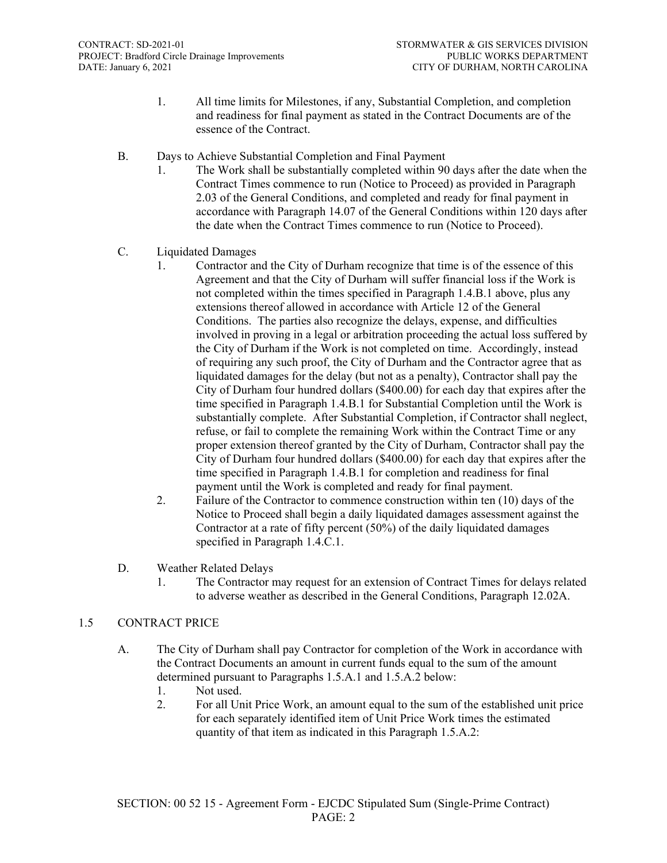- 1. All time limits for Milestones, if any, Substantial Completion, and completion and readiness for final payment as stated in the Contract Documents are of the essence of the Contract.
- B. Days to Achieve Substantial Completion and Final Payment
	- 1. The Work shall be substantially completed within 90 days after the date when the Contract Times commence to run (Notice to Proceed) as provided in Paragraph 2.03 of the General Conditions, and completed and ready for final payment in accordance with Paragraph 14.07 of the General Conditions within 120 days after the date when the Contract Times commence to run (Notice to Proceed).
- C. Liquidated Damages
	- 1. Contractor and the City of Durham recognize that time is of the essence of this Agreement and that the City of Durham will suffer financial loss if the Work is not completed within the times specified in Paragraph 1.4.B.1 above, plus any extensions thereof allowed in accordance with Article 12 of the General Conditions. The parties also recognize the delays, expense, and difficulties involved in proving in a legal or arbitration proceeding the actual loss suffered by the City of Durham if the Work is not completed on time. Accordingly, instead of requiring any such proof, the City of Durham and the Contractor agree that as liquidated damages for the delay (but not as a penalty), Contractor shall pay the City of Durham four hundred dollars (\$400.00) for each day that expires after the time specified in Paragraph 1.4.B.1 for Substantial Completion until the Work is substantially complete. After Substantial Completion, if Contractor shall neglect, refuse, or fail to complete the remaining Work within the Contract Time or any proper extension thereof granted by the City of Durham, Contractor shall pay the City of Durham four hundred dollars (\$400.00) for each day that expires after the time specified in Paragraph 1.4.B.1 for completion and readiness for final payment until the Work is completed and ready for final payment.
	- 2. Failure of the Contractor to commence construction within ten (10) days of the Notice to Proceed shall begin a daily liquidated damages assessment against the Contractor at a rate of fifty percent (50%) of the daily liquidated damages specified in Paragraph 1.4.C.1.
- D. Weather Related Delays
	- 1. The Contractor may request for an extension of Contract Times for delays related to adverse weather as described in the General Conditions, Paragraph 12.02A.

#### 1.5 CONTRACT PRICE

- A. The City of Durham shall pay Contractor for completion of the Work in accordance with the Contract Documents an amount in current funds equal to the sum of the amount determined pursuant to Paragraphs 1.5.A.1 and 1.5.A.2 below:
	- 1. Not used.
	- 2. For all Unit Price Work, an amount equal to the sum of the established unit price for each separately identified item of Unit Price Work times the estimated quantity of that item as indicated in this Paragraph 1.5.A.2: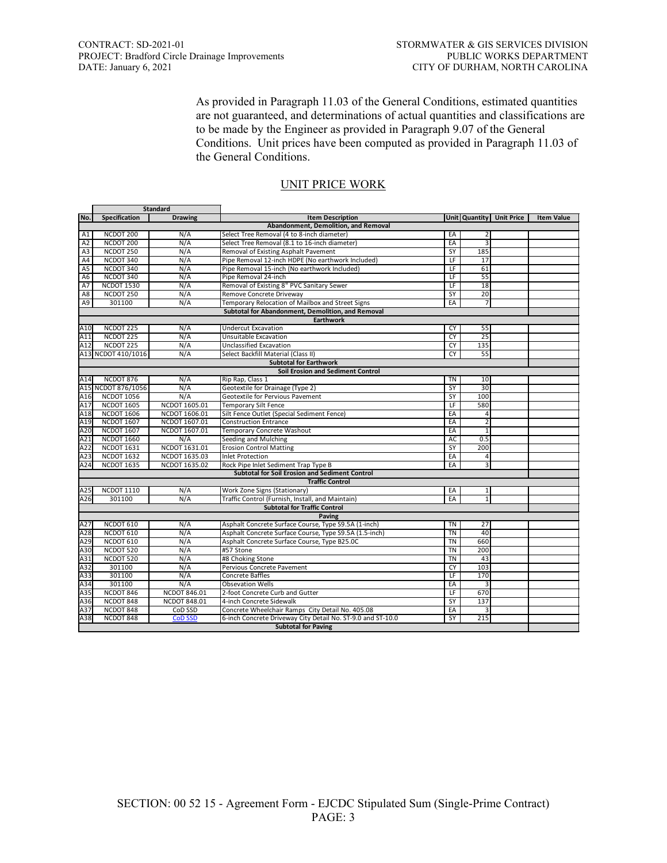As provided in Paragraph 11.03 of the General Conditions, estimated quantities are not guaranteed, and determinations of actual quantities and classifications are to be made by the Engineer as provided in Paragraph 9.07 of the General Conditions. Unit prices have been computed as provided in Paragraph 11.03 of the General Conditions.

| <b>Standard</b> |                            |                     |                                                             |                          |                 |                                 |                   |
|-----------------|----------------------------|---------------------|-------------------------------------------------------------|--------------------------|-----------------|---------------------------------|-------------------|
| No.             | Specification              | <b>Drawing</b>      | <b>Item Description</b>                                     |                          |                 | <b>Unit Quantity Unit Price</b> | <b>Item Value</b> |
|                 |                            |                     | Abandonment, Demolition, and Removal                        |                          |                 |                                 |                   |
| A1              | NCDOT 200                  | N/A                 | Select Tree Removal (4 to 8-inch diameter)                  | EA                       | 2               |                                 |                   |
| A2              | NCDOT 200                  | N/A                 | Select Tree Removal (8.1 to 16-inch diameter)               | EA                       | 3               |                                 |                   |
| A3              | NCDOT 250                  | N/A                 | Removal of Existing Asphalt Pavement                        | SY                       | 185             |                                 |                   |
| A <sub>4</sub>  | NCDOT 340                  | N/A                 | Pipe Removal 12-inch HDPE (No earthwork Included)           | LF                       | 17              |                                 |                   |
| A <sub>5</sub>  | NCDOT 340                  | N/A                 | Pipe Removal 15-inch (No earthwork Included)                | LF                       | 61              |                                 |                   |
| A <sub>6</sub>  | NCDOT 340                  | N/A                 | Pipe Removal 24-inch                                        | $\overline{\mathsf{LF}}$ | 55              |                                 |                   |
| A7              | <b>NCDOT 1530</b>          | N/A                 | Removal of Existing 8" PVC Sanitary Sewer                   | LF                       | 18              |                                 |                   |
| A8              | NCDOT 250                  | N/A                 | Remove Concrete Driveway                                    | SY                       | 20              |                                 |                   |
| A9              | 301100                     | N/A                 | Temporary Relocation of Mailbox and Street Signs            | EA                       | $\overline{7}$  |                                 |                   |
|                 |                            |                     | Subtotal for Abandonment, Demolition, and Removal           |                          |                 |                                 |                   |
|                 |                            |                     | <b>Earthwork</b>                                            |                          |                 |                                 |                   |
| A10             | NCDOT 225                  | N/A                 | <b>Undercut Excavation</b>                                  | CY                       | 55              |                                 |                   |
| A11             | NCDOT 225                  | N/A                 | Unsuitable Excavation                                       | CY                       | 25              |                                 |                   |
| A12             | NCDOT <sub>225</sub>       | N/A                 | Unclassified Excavation                                     | CY                       | 135             |                                 |                   |
|                 | A13 NCDOT 410/1016         | N/A                 | Select Backfill Material (Class II)                         | CY                       | 55              |                                 |                   |
|                 |                            |                     | <b>Subtotal for Earthwork</b>                               |                          |                 |                                 |                   |
|                 |                            |                     | <b>Soil Erosion and Sediment Control</b>                    |                          |                 |                                 |                   |
| A14             | NCDOT 876                  | N/A                 | Rip Rap, Class 1                                            | <b>TN</b>                | 10              |                                 |                   |
|                 | A15 NCDOT 876/1056         | N/A                 | Geotextile for Drainage (Type 2)                            | SY                       | 30              |                                 |                   |
| A16             | <b>NCDOT 1056</b>          | N/A                 | Geotextile for Pervious Pavement                            | SY                       | 100             |                                 |                   |
| A17             | <b>NCDOT 1605</b>          | NCDOT 1605.01       | Temporary Silt Fence                                        | LF                       | 580             |                                 |                   |
| A18             | <b>NCDOT 1606</b>          | NCDOT 1606.01       | Silt Fence Outlet (Special Sediment Fence)                  | EA                       | 4               |                                 |                   |
| A19             | <b>NCDOT 1607</b>          | NCDOT 1607.01       | <b>Construction Entrance</b>                                | EA                       | $\overline{2}$  |                                 |                   |
| A20             | NCDOT 1607                 | NCDOT 1607.01       | Temporary Concrete Washout                                  | EA                       | $\mathbf{1}$    |                                 |                   |
| A21             | <b>NCDOT 1660</b>          | N/A                 | Seeding and Mulching                                        | <b>AC</b>                | 0.5             |                                 |                   |
| A22             | <b>NCDOT 1631</b>          | NCDOT 1631.01       | <b>Erosion Control Matting</b>                              | SY                       | 200             |                                 |                   |
| A23             | <b>NCDOT 1632</b>          | NCDOT 1635.03       | <b>Inlet Protection</b>                                     | EA                       | 4               |                                 |                   |
| A24             | <b>NCDOT 1635</b>          | NCDOT 1635.02       | Rock Pipe Inlet Sediment Trap Type B                        | EA                       | 3               |                                 |                   |
|                 |                            |                     | <b>Subtotal for Soil Erosion and Sediment Control</b>       |                          |                 |                                 |                   |
|                 |                            |                     | <b>Traffic Control</b>                                      |                          |                 |                                 |                   |
| A25             | <b>NCDOT 1110</b>          | N/A                 | Work Zone Signs (Stationary)                                | EA                       | $1\overline{ }$ |                                 |                   |
| A26             | 301100                     | N/A                 | Traffic Control (Furnish, Install, and Maintain)            | EA                       | $\overline{1}$  |                                 |                   |
|                 |                            |                     | <b>Subtotal for Traffic Control</b>                         |                          |                 |                                 |                   |
|                 |                            |                     | Paving                                                      |                          |                 |                                 |                   |
| A27             | NCDOT 610                  | N/A                 | Asphalt Concrete Surface Course, Type S9.5A (1-inch)        | <b>TN</b>                | 27              |                                 |                   |
| A28             | NCDOT 610                  | N/A                 | Asphalt Concrete Surface Course, Type S9.5A (1.5-inch)      | <b>TN</b>                | 40              |                                 |                   |
| A29             | NCDOT 610                  | N/A                 | Asphalt Concrete Surface Course, Type B25.0C                | <b>TN</b>                | 660             |                                 |                   |
| A30             | NCDOT 520                  | N/A                 | #57 Stone                                                   | <b>TN</b>                | 200             |                                 |                   |
|                 | NCDOT 520                  |                     |                                                             | <b>TN</b>                | 43              |                                 |                   |
| A31             |                            | N/A                 | #8 Choking Stone                                            | <b>CY</b>                | 103             |                                 |                   |
| A32             | 301100                     | N/A                 | Pervious Concrete Pavement                                  |                          |                 |                                 |                   |
| A33             | 301100                     | N/A                 | <b>Concrete Baffles</b>                                     | LF                       | 170             |                                 |                   |
| A34             | 301100                     | N/A                 | <b>Obsevation Wells</b>                                     | EA                       | 3               |                                 |                   |
| A35             | NCDOT 846                  | <b>NCDOT 846.01</b> | 2-foot Concrete Curb and Gutter                             | LF                       | 670             |                                 |                   |
| A36             | NCDOT 848                  | NCDOT 848.01        | 4-inch Concrete Sidewalk                                    | SY                       | 137             |                                 |                   |
| A37             | NCDOT 848                  | CoD SSD             | Concrete Wheelchair Ramps City Detail No. 405.08            | EA                       | 3               |                                 |                   |
| A38             | NCDOT 848                  | <b>CoD SSD</b>      | 6-inch Concrete Driveway City Detail No. ST-9.0 and ST-10.0 | SY                       | 215             |                                 |                   |
|                 | <b>Subtotal for Paving</b> |                     |                                                             |                          |                 |                                 |                   |

#### UNIT PRICE WORK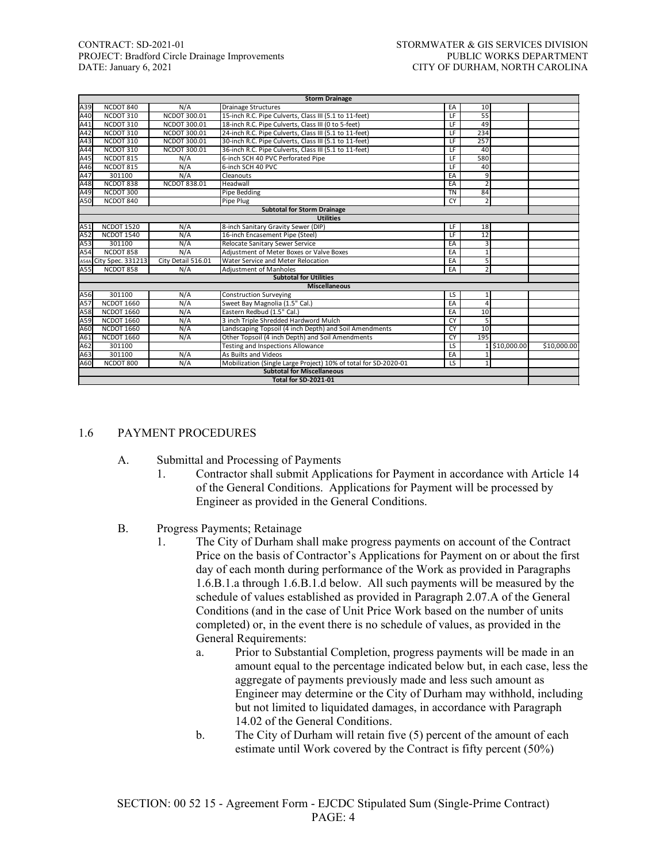# CONTRACT: SD-2021-01 STORMWATER & GIS SERVICES DIVISION PROJECT: Bradford Circle Drainage Improvements PUBLIC WORKS DEPARTMENT<br>DATE: January 6, 2021 CITY OF DURHAM, NORTH CAROLINA

|      |                   |                     | <b>Storm Drainage</b>                                           |                          |                |               |             |
|------|-------------------|---------------------|-----------------------------------------------------------------|--------------------------|----------------|---------------|-------------|
| A39  | NCDOT 840         | N/A                 | <b>Drainage Structures</b>                                      | EA                       | 10             |               |             |
| A40  | NCDOT 310         | NCDOT 300.01        | 15-inch R.C. Pipe Culverts, Class III (5.1 to 11-feet)          | LF                       | 55             |               |             |
| A41  | NCDOT 310         | NCDOT 300.01        | 18-inch R.C. Pipe Culverts, Class III (0 to 5-feet)             | LF.                      | 49             |               |             |
| A42  | NCDOT 310         | NCDOT 300.01        | 24-inch R.C. Pipe Culverts, Class III (5.1 to 11-feet)          | LF                       | 234            |               |             |
| A43  | NCDOT 310         | NCDOT 300.01        | 30-inch R.C. Pipe Culverts, Class III (5.1 to 11-feet)          | $\overline{\mathsf{LF}}$ | 257            |               |             |
| A44  | NCDOT 310         | NCDOT 300.01        | 36-inch R.C. Pipe Culverts, Class III (5.1 to 11-feet)          | LF                       | 40             |               |             |
| A45  | NCDOT 815         | N/A                 | 6-inch SCH 40 PVC Perforated Pipe                               | LF                       | 580            |               |             |
| A46  | NCDOT 815         | N/A                 | 6-inch SCH 40 PVC                                               | IF                       | 40             |               |             |
| A47  | 301100            | N/A                 | Cleanouts                                                       | EA                       | 9              |               |             |
| A48  | NCDOT 838         | <b>NCDOT 838.01</b> | Headwall                                                        | EA                       | $\mathcal{P}$  |               |             |
| A49  | NCDOT 300         |                     | Pipe Bedding                                                    | <b>TN</b>                | 84             |               |             |
| A50  | NCDOT 840         |                     | Pipe Plug                                                       | <b>CY</b>                | $\overline{2}$ |               |             |
|      |                   |                     | <b>Subtotal for Storm Drainage</b>                              |                          |                |               |             |
|      |                   |                     | <b>Utilities</b>                                                |                          |                |               |             |
| A51  | <b>NCDOT 1520</b> | N/A                 | 8-inch Sanitary Gravity Sewer (DIP)                             | $\overline{\mathsf{LF}}$ | 18             |               |             |
| A52  | <b>NCDOT 1540</b> | N/A                 | 16-inch Encasement Pipe (Steel)                                 | $\overline{\mathsf{LF}}$ | 12             |               |             |
| A53  | 301100            | N/A                 | Relocate Sanitary Sewer Service                                 | EA                       | 3              |               |             |
| A54  | NCDOT 858         | N/A                 | Adjustment of Meter Boxes or Valve Boxes                        | EA                       | 1              |               |             |
| A54A | City Spec. 331213 | City Detail 516.01  | Water Service and Meter Relocation                              | EA                       | 5              |               |             |
| A55  | NCDOT 858         | N/A                 | <b>Adjustment of Manholes</b>                                   | EA                       | $\overline{2}$ |               |             |
|      |                   |                     | <b>Subtotal for Utilities</b>                                   |                          |                |               |             |
|      |                   |                     | <b>Miscellaneous</b>                                            |                          |                |               |             |
| A56  | 301100            | N/A                 | <b>Construction Surveying</b>                                   | LS                       | $\mathbf{1}$   |               |             |
| A57  | <b>NCDOT 1660</b> | N/A                 | Sweet Bay Magnolia (1.5" Cal.)                                  | EA                       | 4              |               |             |
| A58  | <b>NCDOT 1660</b> | N/A                 | Eastern Redbud (1.5" Cal.)                                      | EA                       | 10             |               |             |
| A59  | <b>NCDOT 1660</b> | N/A                 | 3 inch Triple Shredded Hardword Mulch                           | <b>CY</b>                | 5              |               |             |
| A60  | <b>NCDOT 1660</b> | N/A                 | Landscaping Topsoil (4 inch Depth) and Soil Amendments          | <b>CY</b>                | 10             |               |             |
| A61  | <b>NCDOT 1660</b> | N/A                 | Other Topsoil (4 inch Depth) and Soil Amendments                | <b>CY</b>                | 195            |               |             |
| A62  | 301100            |                     | Testing and Inspections Allowance                               | LS                       |                | 1 \$10,000.00 | \$10,000.00 |
| A63  | 301100            | N/A                 | As Builts and Videos                                            | EA                       |                |               |             |
| A60  | NCDOT 800         | N/A                 | Mobilization (Single Large Project) 10% of total for SD-2020-01 | LS                       | 1              |               |             |
|      |                   |                     | <b>Subtotal for Miscellaneous</b>                               |                          |                |               |             |
|      |                   |                     | <b>Total for SD-2021-01</b>                                     |                          |                |               |             |

#### 1.6 PAYMENT PROCEDURES

- A. Submittal and Processing of Payments
	- 1. Contractor shall submit Applications for Payment in accordance with Article 14 of the General Conditions. Applications for Payment will be processed by Engineer as provided in the General Conditions.
- B. Progress Payments; Retainage
	- 1. The City of Durham shall make progress payments on account of the Contract Price on the basis of Contractor's Applications for Payment on or about the first day of each month during performance of the Work as provided in Paragraphs 1.6.B.1.a through 1.6.B.1.d below. All such payments will be measured by the schedule of values established as provided in Paragraph 2.07.A of the General Conditions (and in the case of Unit Price Work based on the number of units completed) or, in the event there is no schedule of values, as provided in the General Requirements:
		- a. Prior to Substantial Completion, progress payments will be made in an amount equal to the percentage indicated below but, in each case, less the aggregate of payments previously made and less such amount as Engineer may determine or the City of Durham may withhold, including but not limited to liquidated damages, in accordance with Paragraph 14.02 of the General Conditions.
		- b. The City of Durham will retain five (5) percent of the amount of each estimate until Work covered by the Contract is fifty percent (50%)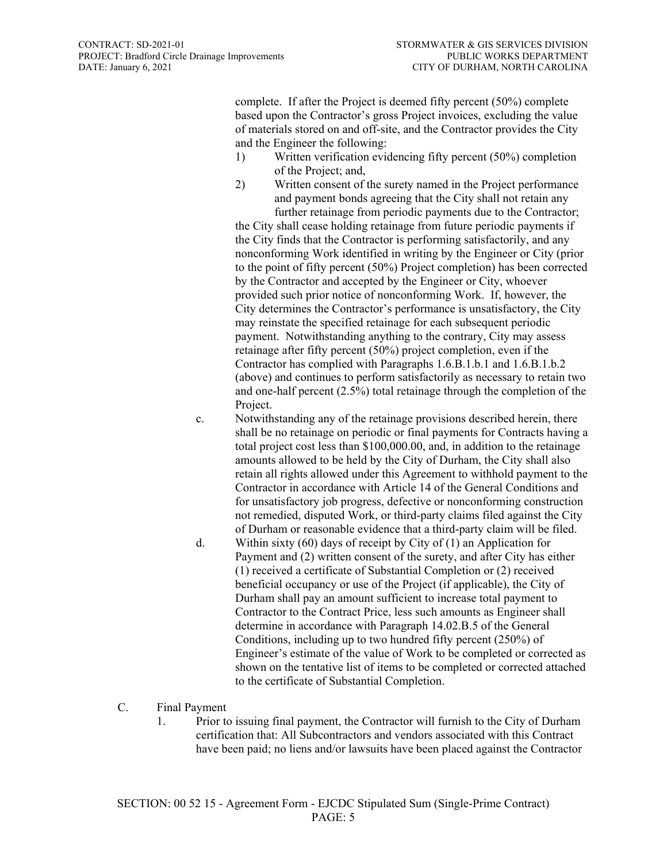complete. If after the Project is deemed fifty percent (50%) complete based upon the Contractor's gross Project invoices, excluding the value of materials stored on and off-site, and the Contractor provides the City and the Engineer the following:

- 1) Written verification evidencing fifty percent (50%) completion of the Project; and,
- 2) Written consent of the surety named in the Project performance and payment bonds agreeing that the City shall not retain any further retainage from periodic payments due to the Contractor;

the City shall cease holding retainage from future periodic payments if the City finds that the Contractor is performing satisfactorily, and any nonconforming Work identified in writing by the Engineer or City (prior to the point of fifty percent (50%) Project completion) has been corrected by the Contractor and accepted by the Engineer or City, whoever provided such prior notice of nonconforming Work. If, however, the City determines the Contractor's performance is unsatisfactory, the City may reinstate the specified retainage for each subsequent periodic payment. Notwithstanding anything to the contrary, City may assess retainage after fifty percent (50%) project completion, even if the Contractor has complied with Paragraphs 1.6.B.1.b.1 and 1.6.B.1.b.2 (above) and continues to perform satisfactorily as necessary to retain two and one-half percent (2.5%) total retainage through the completion of the Project.

- c. Notwithstanding any of the retainage provisions described herein, there shall be no retainage on periodic or final payments for Contracts having a total project cost less than \$100,000.00, and, in addition to the retainage amounts allowed to be held by the City of Durham, the City shall also retain all rights allowed under this Agreement to withhold payment to the Contractor in accordance with Article 14 of the General Conditions and for unsatisfactory job progress, defective or nonconforming construction not remedied, disputed Work, or third-party claims filed against the City of Durham or reasonable evidence that a third-party claim will be filed.
- d. Within sixty (60) days of receipt by City of (1) an Application for Payment and (2) written consent of the surety, and after City has either (1) received a certificate of Substantial Completion or (2) received beneficial occupancy or use of the Project (if applicable), the City of Durham shall pay an amount sufficient to increase total payment to Contractor to the Contract Price, less such amounts as Engineer shall determine in accordance with Paragraph 14.02.B.5 of the General Conditions, including up to two hundred fifty percent (250%) of Engineer's estimate of the value of Work to be completed or corrected as shown on the tentative list of items to be completed or corrected attached to the certificate of Substantial Completion.
- C. Final Payment
	- 1. Prior to issuing final payment, the Contractor will furnish to the City of Durham certification that: All Subcontractors and vendors associated with this Contract have been paid; no liens and/or lawsuits have been placed against the Contractor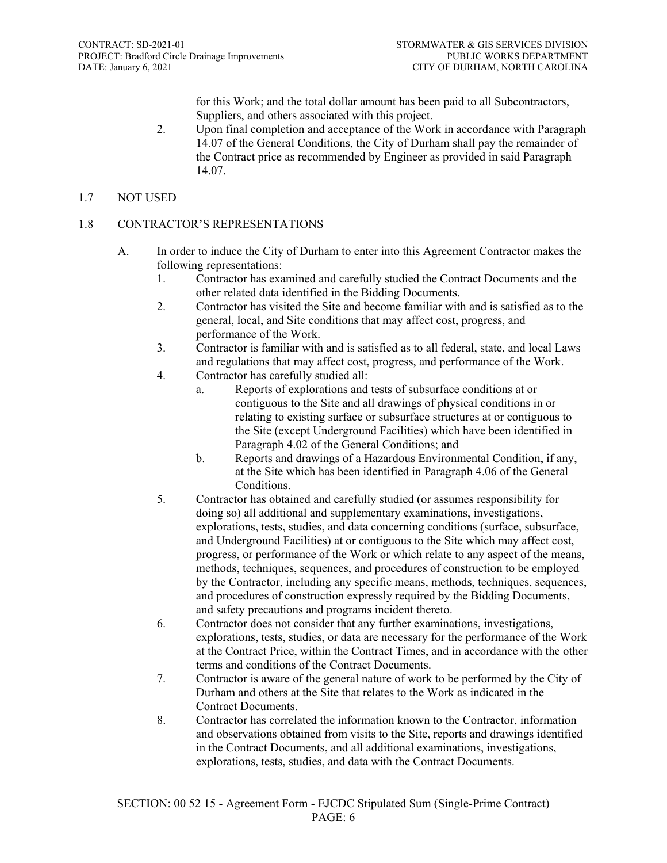for this Work; and the total dollar amount has been paid to all Subcontractors, Suppliers, and others associated with this project.

- 2. Upon final completion and acceptance of the Work in accordance with Paragraph 14.07 of the General Conditions, the City of Durham shall pay the remainder of the Contract price as recommended by Engineer as provided in said Paragraph 14.07.
- 1.7 NOT USED

#### 1.8 CONTRACTOR'S REPRESENTATIONS

- A. In order to induce the City of Durham to enter into this Agreement Contractor makes the following representations:
	- 1. Contractor has examined and carefully studied the Contract Documents and the other related data identified in the Bidding Documents.
	- 2. Contractor has visited the Site and become familiar with and is satisfied as to the general, local, and Site conditions that may affect cost, progress, and performance of the Work.
	- 3. Contractor is familiar with and is satisfied as to all federal, state, and local Laws and regulations that may affect cost, progress, and performance of the Work.
	- 4. Contractor has carefully studied all:
		- a. Reports of explorations and tests of subsurface conditions at or contiguous to the Site and all drawings of physical conditions in or relating to existing surface or subsurface structures at or contiguous to the Site (except Underground Facilities) which have been identified in Paragraph 4.02 of the General Conditions; and
		- b. Reports and drawings of a Hazardous Environmental Condition, if any, at the Site which has been identified in Paragraph 4.06 of the General Conditions.
	- 5. Contractor has obtained and carefully studied (or assumes responsibility for doing so) all additional and supplementary examinations, investigations, explorations, tests, studies, and data concerning conditions (surface, subsurface, and Underground Facilities) at or contiguous to the Site which may affect cost, progress, or performance of the Work or which relate to any aspect of the means, methods, techniques, sequences, and procedures of construction to be employed by the Contractor, including any specific means, methods, techniques, sequences, and procedures of construction expressly required by the Bidding Documents, and safety precautions and programs incident thereto.
	- 6. Contractor does not consider that any further examinations, investigations, explorations, tests, studies, or data are necessary for the performance of the Work at the Contract Price, within the Contract Times, and in accordance with the other terms and conditions of the Contract Documents.
	- 7. Contractor is aware of the general nature of work to be performed by the City of Durham and others at the Site that relates to the Work as indicated in the Contract Documents.
	- 8. Contractor has correlated the information known to the Contractor, information and observations obtained from visits to the Site, reports and drawings identified in the Contract Documents, and all additional examinations, investigations, explorations, tests, studies, and data with the Contract Documents.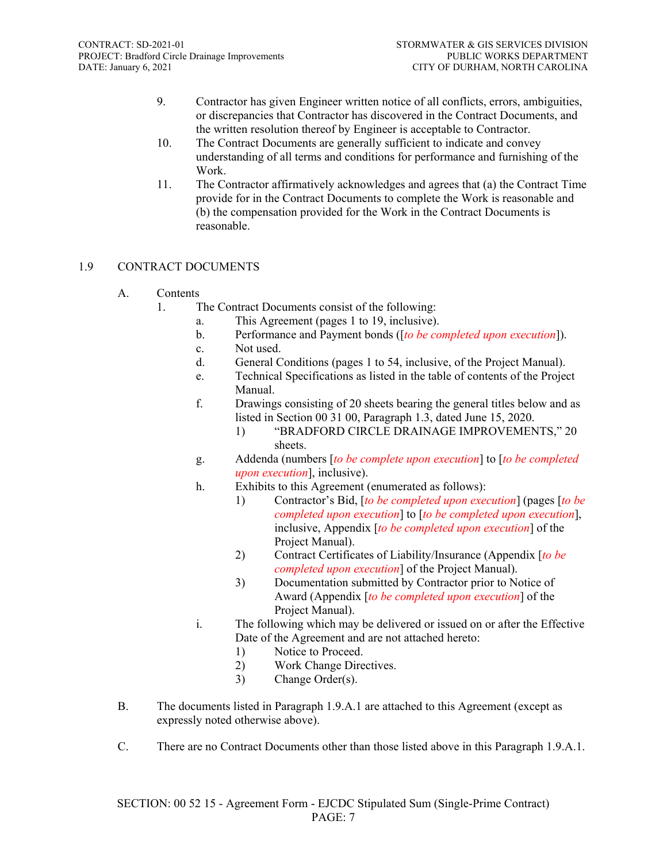- 9. Contractor has given Engineer written notice of all conflicts, errors, ambiguities, or discrepancies that Contractor has discovered in the Contract Documents, and the written resolution thereof by Engineer is acceptable to Contractor.
- 10. The Contract Documents are generally sufficient to indicate and convey understanding of all terms and conditions for performance and furnishing of the Work.
- 11. The Contractor affirmatively acknowledges and agrees that (a) the Contract Time provide for in the Contract Documents to complete the Work is reasonable and (b) the compensation provided for the Work in the Contract Documents is reasonable.

### 1.9 CONTRACT DOCUMENTS

- A. Contents
	- 1. The Contract Documents consist of the following:
		- a. This Agreement (pages 1 to 19, inclusive).
		- b. Performance and Payment bonds ([*to be completed upon execution*]).
		- c. Not used.
		- d. General Conditions (pages 1 to 54, inclusive, of the Project Manual).
		- e. Technical Specifications as listed in the table of contents of the Project Manual.
		- f. Drawings consisting of 20 sheets bearing the general titles below and as listed in Section 00 31 00, Paragraph 1.3, dated June 15, 2020.
			- 1) "BRADFORD CIRCLE DRAINAGE IMPROVEMENTS," 20 sheets.
		- g. Addenda (numbers [*to be complete upon execution*] to [*to be completed upon execution*], inclusive).
		- h. Exhibits to this Agreement (enumerated as follows):
			- 1) Contractor's Bid, [*to be completed upon execution*] (pages [*to be completed upon execution*] to [*to be completed upon execution*], inclusive, Appendix [*to be completed upon execution*] of the Project Manual).
			- 2) Contract Certificates of Liability/Insurance (Appendix [*to be completed upon execution*] of the Project Manual).
			- 3) Documentation submitted by Contractor prior to Notice of Award (Appendix [*to be completed upon execution*] of the Project Manual).
		- i. The following which may be delivered or issued on or after the Effective Date of the Agreement and are not attached hereto:
			- 1) Notice to Proceed.
			- 2) Work Change Directives.
			- 3) Change Order(s).
- B. The documents listed in Paragraph 1.9.A.1 are attached to this Agreement (except as expressly noted otherwise above).
- C. There are no Contract Documents other than those listed above in this Paragraph 1.9.A.1.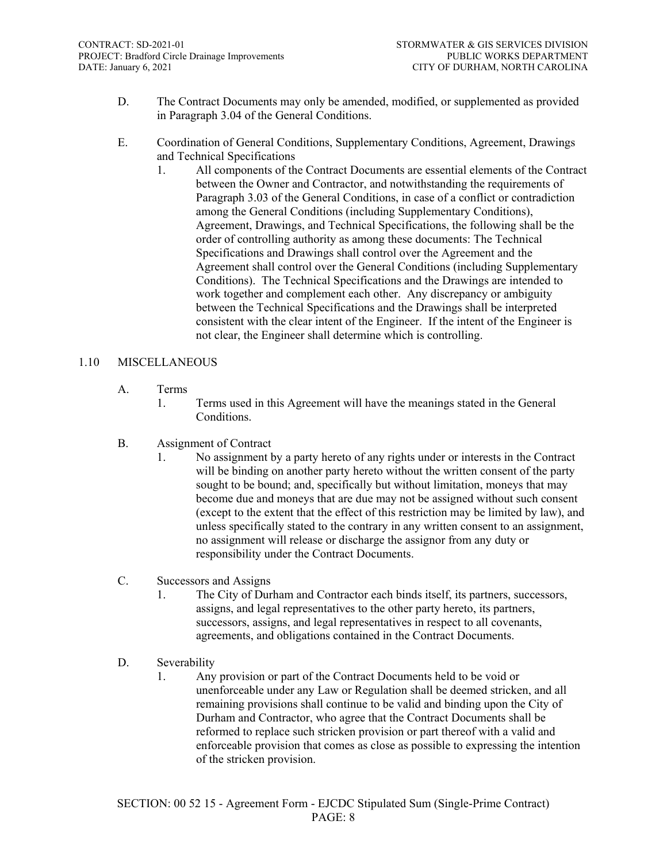- D. The Contract Documents may only be amended, modified, or supplemented as provided in Paragraph 3.04 of the General Conditions.
- E. Coordination of General Conditions, Supplementary Conditions, Agreement, Drawings and Technical Specifications
	- 1. All components of the Contract Documents are essential elements of the Contract between the Owner and Contractor, and notwithstanding the requirements of Paragraph 3.03 of the General Conditions, in case of a conflict or contradiction among the General Conditions (including Supplementary Conditions), Agreement, Drawings, and Technical Specifications, the following shall be the order of controlling authority as among these documents: The Technical Specifications and Drawings shall control over the Agreement and the Agreement shall control over the General Conditions (including Supplementary Conditions). The Technical Specifications and the Drawings are intended to work together and complement each other. Any discrepancy or ambiguity between the Technical Specifications and the Drawings shall be interpreted consistent with the clear intent of the Engineer. If the intent of the Engineer is not clear, the Engineer shall determine which is controlling.

#### 1.10 MISCELLANEOUS

- A. Terms
	- 1. Terms used in this Agreement will have the meanings stated in the General Conditions.
- B. Assignment of Contract
	- 1. No assignment by a party hereto of any rights under or interests in the Contract will be binding on another party hereto without the written consent of the party sought to be bound; and, specifically but without limitation, moneys that may become due and moneys that are due may not be assigned without such consent (except to the extent that the effect of this restriction may be limited by law), and unless specifically stated to the contrary in any written consent to an assignment, no assignment will release or discharge the assignor from any duty or responsibility under the Contract Documents.
- C. Successors and Assigns
	- 1. The City of Durham and Contractor each binds itself, its partners, successors, assigns, and legal representatives to the other party hereto, its partners, successors, assigns, and legal representatives in respect to all covenants, agreements, and obligations contained in the Contract Documents.
- D. Severability
	- 1. Any provision or part of the Contract Documents held to be void or unenforceable under any Law or Regulation shall be deemed stricken, and all remaining provisions shall continue to be valid and binding upon the City of Durham and Contractor, who agree that the Contract Documents shall be reformed to replace such stricken provision or part thereof with a valid and enforceable provision that comes as close as possible to expressing the intention of the stricken provision.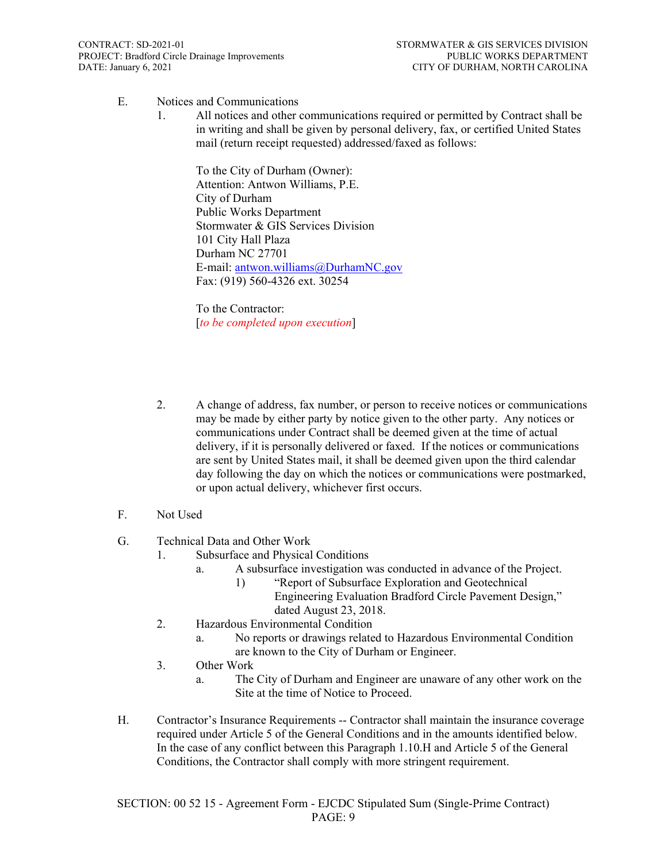- E. Notices and Communications
	- 1. All notices and other communications required or permitted by Contract shall be in writing and shall be given by personal delivery, fax, or certified United States mail (return receipt requested) addressed/faxed as follows:

To the City of Durham (Owner): Attention: Antwon Williams, P.E. City of Durham Public Works Department Stormwater & GIS Services Division 101 City Hall Plaza Durham NC 27701 E-mail: [antwon.williams@DurhamNC.gov](mailto:antwon.williams@DurhamNC.gov) Fax: (919) 560-4326 ext. 30254

To the Contractor: [*to be completed upon execution*]

- 2. A change of address, fax number, or person to receive notices or communications may be made by either party by notice given to the other party. Any notices or communications under Contract shall be deemed given at the time of actual delivery, if it is personally delivered or faxed. If the notices or communications are sent by United States mail, it shall be deemed given upon the third calendar day following the day on which the notices or communications were postmarked, or upon actual delivery, whichever first occurs.
- F. Not Used
- G. Technical Data and Other Work
	- 1. Subsurface and Physical Conditions
		- a. A subsurface investigation was conducted in advance of the Project.
			- 1) "Report of Subsurface Exploration and Geotechnical Engineering Evaluation Bradford Circle Pavement Design," dated August 23, 2018.
	- 2. Hazardous Environmental Condition
		- a. No reports or drawings related to Hazardous Environmental Condition are known to the City of Durham or Engineer.
	- 3. Other Work
		- a. The City of Durham and Engineer are unaware of any other work on the Site at the time of Notice to Proceed.
- H. Contractor's Insurance Requirements -- Contractor shall maintain the insurance coverage required under Article 5 of the General Conditions and in the amounts identified below. In the case of any conflict between this Paragraph 1.10.H and Article 5 of the General Conditions, the Contractor shall comply with more stringent requirement.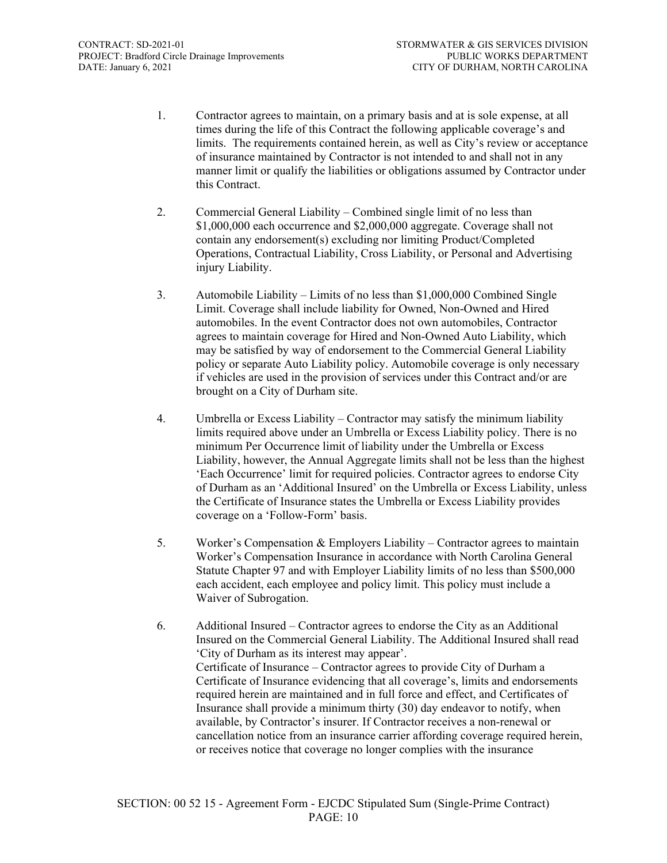- 1. Contractor agrees to maintain, on a primary basis and at is sole expense, at all times during the life of this Contract the following applicable coverage's and limits. The requirements contained herein, as well as City's review or acceptance of insurance maintained by Contractor is not intended to and shall not in any manner limit or qualify the liabilities or obligations assumed by Contractor under this Contract.
- 2. Commercial General Liability Combined single limit of no less than \$1,000,000 each occurrence and \$2,000,000 aggregate. Coverage shall not contain any endorsement(s) excluding nor limiting Product/Completed Operations, Contractual Liability, Cross Liability, or Personal and Advertising injury Liability.
- 3. Automobile Liability Limits of no less than \$1,000,000 Combined Single Limit. Coverage shall include liability for Owned, Non-Owned and Hired automobiles. In the event Contractor does not own automobiles, Contractor agrees to maintain coverage for Hired and Non-Owned Auto Liability, which may be satisfied by way of endorsement to the Commercial General Liability policy or separate Auto Liability policy. Automobile coverage is only necessary if vehicles are used in the provision of services under this Contract and/or are brought on a City of Durham site.
- 4. Umbrella or Excess Liability Contractor may satisfy the minimum liability limits required above under an Umbrella or Excess Liability policy. There is no minimum Per Occurrence limit of liability under the Umbrella or Excess Liability, however, the Annual Aggregate limits shall not be less than the highest 'Each Occurrence' limit for required policies. Contractor agrees to endorse City of Durham as an 'Additional Insured' on the Umbrella or Excess Liability, unless the Certificate of Insurance states the Umbrella or Excess Liability provides coverage on a 'Follow-Form' basis.
- 5. Worker's Compensation & Employers Liability Contractor agrees to maintain Worker's Compensation Insurance in accordance with North Carolina General Statute Chapter 97 and with Employer Liability limits of no less than \$500,000 each accident, each employee and policy limit. This policy must include a Waiver of Subrogation.
- 6. Additional Insured Contractor agrees to endorse the City as an Additional Insured on the Commercial General Liability. The Additional Insured shall read 'City of Durham as its interest may appear'. Certificate of Insurance – Contractor agrees to provide City of Durham a Certificate of Insurance evidencing that all coverage's, limits and endorsements required herein are maintained and in full force and effect, and Certificates of Insurance shall provide a minimum thirty (30) day endeavor to notify, when available, by Contractor's insurer. If Contractor receives a non-renewal or cancellation notice from an insurance carrier affording coverage required herein, or receives notice that coverage no longer complies with the insurance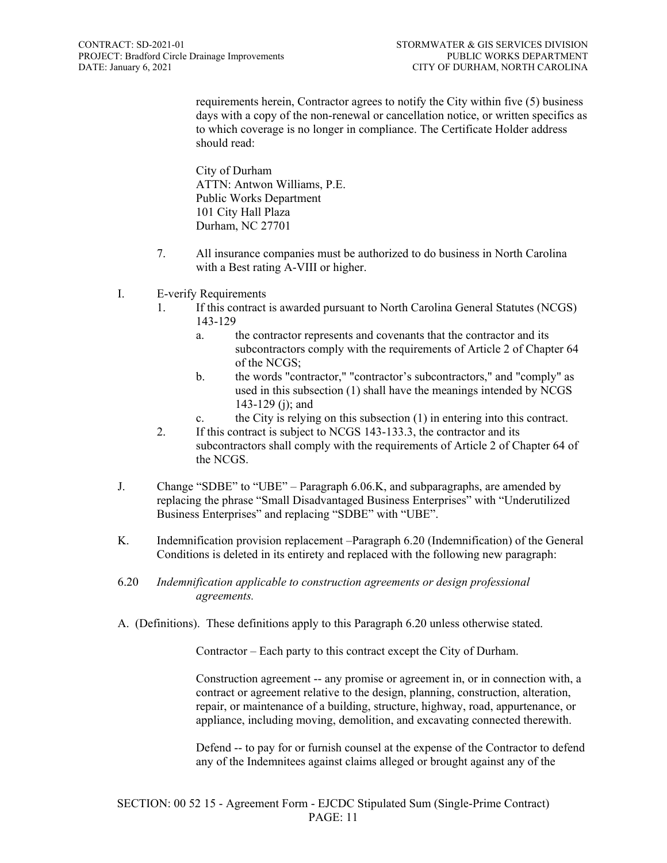requirements herein, Contractor agrees to notify the City within five (5) business days with a copy of the non-renewal or cancellation notice, or written specifics as to which coverage is no longer in compliance. The Certificate Holder address should read:

City of Durham ATTN: Antwon Williams, P.E. Public Works Department 101 City Hall Plaza Durham, NC 27701

- 7. All insurance companies must be authorized to do business in North Carolina with a Best rating A-VIII or higher.
- I. E-verify Requirements
	- 1. If this contract is awarded pursuant to North Carolina General Statutes (NCGS) 143-129
		- a. the contractor represents and covenants that the contractor and its subcontractors comply with the requirements of Article 2 of Chapter 64 of the NCGS;
		- b. the words "contractor," "contractor's subcontractors," and "comply" as used in this subsection (1) shall have the meanings intended by NCGS 143-129 (j); and
		- c. the City is relying on this subsection (1) in entering into this contract.
	- 2. If this contract is subject to NCGS 143-133.3, the contractor and its subcontractors shall comply with the requirements of Article 2 of Chapter 64 of the NCGS.
- J. Change "SDBE" to "UBE" Paragraph 6.06.K, and subparagraphs, are amended by replacing the phrase "Small Disadvantaged Business Enterprises" with "Underutilized Business Enterprises" and replacing "SDBE" with "UBE".
- K. Indemnification provision replacement –Paragraph 6.20 (Indemnification) of the General Conditions is deleted in its entirety and replaced with the following new paragraph:
- 6.20 *Indemnification applicable to construction agreements or design professional agreements.*
- A. (Definitions). These definitions apply to this Paragraph 6.20 unless otherwise stated.

Contractor – Each party to this contract except the City of Durham.

Construction agreement -- any promise or agreement in, or in connection with, a contract or agreement relative to the design, planning, construction, alteration, repair, or maintenance of a building, structure, highway, road, appurtenance, or appliance, including moving, demolition, and excavating connected therewith.

Defend -- to pay for or furnish counsel at the expense of the Contractor to defend any of the Indemnitees against claims alleged or brought against any of the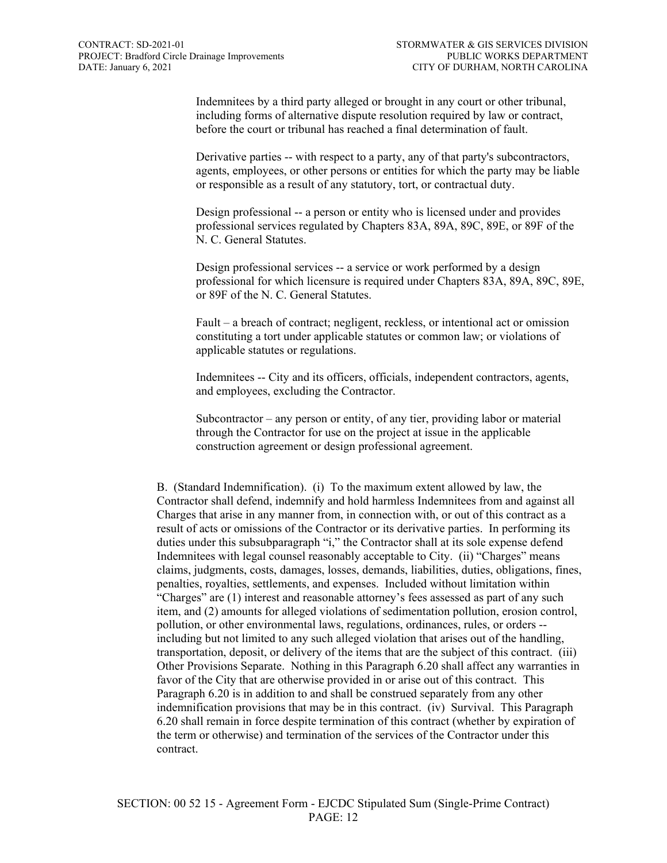Indemnitees by a third party alleged or brought in any court or other tribunal, including forms of alternative dispute resolution required by law or contract, before the court or tribunal has reached a final determination of fault.

Derivative parties -- with respect to a party, any of that party's subcontractors, agents, employees, or other persons or entities for which the party may be liable or responsible as a result of any statutory, tort, or contractual duty.

Design professional -- a person or entity who is licensed under and provides professional services regulated by Chapters 83A, 89A, 89C, 89E, or 89F of the N. C. General Statutes.

Design professional services -- a service or work performed by a design professional for which licensure is required under Chapters 83A, 89A, 89C, 89E, or 89F of the N. C. General Statutes.

Fault – a breach of contract; negligent, reckless, or intentional act or omission constituting a tort under applicable statutes or common law; or violations of applicable statutes or regulations.

Indemnitees -- City and its officers, officials, independent contractors, agents, and employees, excluding the Contractor.

Subcontractor – any person or entity, of any tier, providing labor or material through the Contractor for use on the project at issue in the applicable construction agreement or design professional agreement.

B. (Standard Indemnification). (i) To the maximum extent allowed by law, the Contractor shall defend, indemnify and hold harmless Indemnitees from and against all Charges that arise in any manner from, in connection with, or out of this contract as a result of acts or omissions of the Contractor or its derivative parties. In performing its duties under this subsubparagraph "i," the Contractor shall at its sole expense defend Indemnitees with legal counsel reasonably acceptable to City. (ii) "Charges" means claims, judgments, costs, damages, losses, demands, liabilities, duties, obligations, fines, penalties, royalties, settlements, and expenses. Included without limitation within "Charges" are (1) interest and reasonable attorney's fees assessed as part of any such item, and (2) amounts for alleged violations of sedimentation pollution, erosion control, pollution, or other environmental laws, regulations, ordinances, rules, or orders - including but not limited to any such alleged violation that arises out of the handling, transportation, deposit, or delivery of the items that are the subject of this contract. (iii) Other Provisions Separate. Nothing in this Paragraph 6.20 shall affect any warranties in favor of the City that are otherwise provided in or arise out of this contract. This Paragraph 6.20 is in addition to and shall be construed separately from any other indemnification provisions that may be in this contract. (iv) Survival. This Paragraph 6.20 shall remain in force despite termination of this contract (whether by expiration of the term or otherwise) and termination of the services of the Contractor under this contract.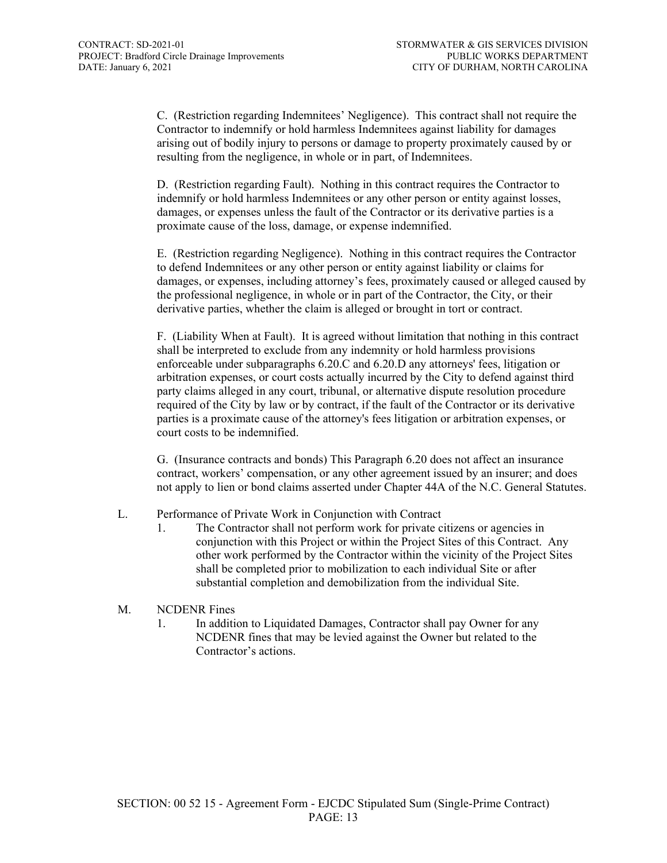C. (Restriction regarding Indemnitees' Negligence). This contract shall not require the Contractor to indemnify or hold harmless Indemnitees against liability for damages arising out of bodily injury to persons or damage to property proximately caused by or resulting from the negligence, in whole or in part, of Indemnitees.

D. (Restriction regarding Fault). Nothing in this contract requires the Contractor to indemnify or hold harmless Indemnitees or any other person or entity against losses, damages, or expenses unless the fault of the Contractor or its derivative parties is a proximate cause of the loss, damage, or expense indemnified.

E. (Restriction regarding Negligence). Nothing in this contract requires the Contractor to defend Indemnitees or any other person or entity against liability or claims for damages, or expenses, including attorney's fees, proximately caused or alleged caused by the professional negligence, in whole or in part of the Contractor, the City, or their derivative parties, whether the claim is alleged or brought in tort or contract.

F. (Liability When at Fault). It is agreed without limitation that nothing in this contract shall be interpreted to exclude from any indemnity or hold harmless provisions enforceable under subparagraphs 6.20.C and 6.20.D any attorneys' fees, litigation or arbitration expenses, or court costs actually incurred by the City to defend against third party claims alleged in any court, tribunal, or alternative dispute resolution procedure required of the City by law or by contract, if the fault of the Contractor or its derivative parties is a proximate cause of the attorney's fees litigation or arbitration expenses, or court costs to be indemnified.

G. (Insurance contracts and bonds) This Paragraph 6.20 does not affect an insurance contract, workers' compensation, or any other agreement issued by an insurer; and does not apply to lien or bond claims asserted under Chapter 44A of the N.C. General Statutes.

#### L. Performance of Private Work in Conjunction with Contract

1. The Contractor shall not perform work for private citizens or agencies in conjunction with this Project or within the Project Sites of this Contract. Any other work performed by the Contractor within the vicinity of the Project Sites shall be completed prior to mobilization to each individual Site or after substantial completion and demobilization from the individual Site.

#### M. NCDENR Fines

1. In addition to Liquidated Damages, Contractor shall pay Owner for any NCDENR fines that may be levied against the Owner but related to the Contractor's actions.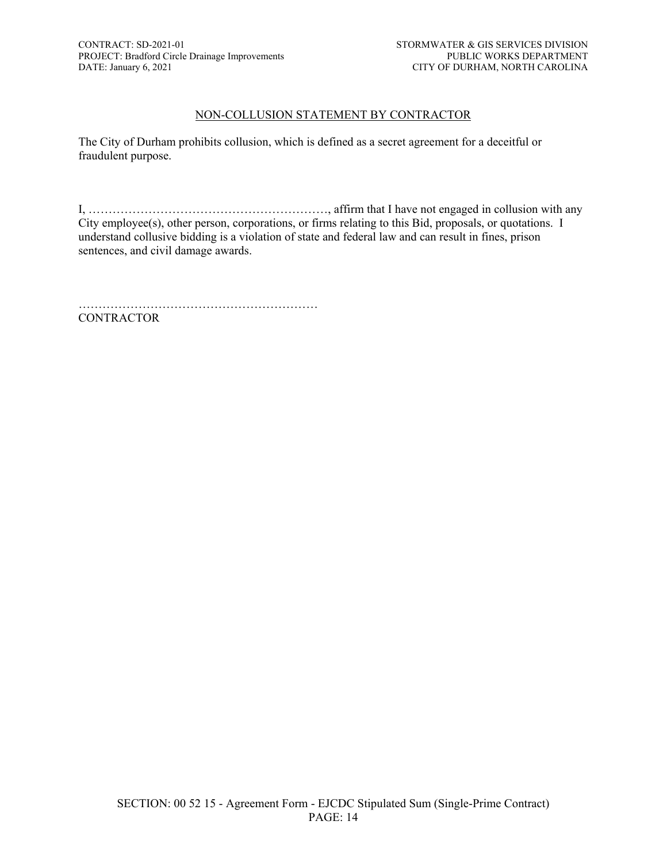#### NON-COLLUSION STATEMENT BY CONTRACTOR

The City of Durham prohibits collusion, which is defined as a secret agreement for a deceitful or fraudulent purpose.

I, ……………………………………………………, affirm that I have not engaged in collusion with any City employee(s), other person, corporations, or firms relating to this Bid, proposals, or quotations. I understand collusive bidding is a violation of state and federal law and can result in fines, prison sentences, and civil damage awards.

…………………………………………………… **CONTRACTOR**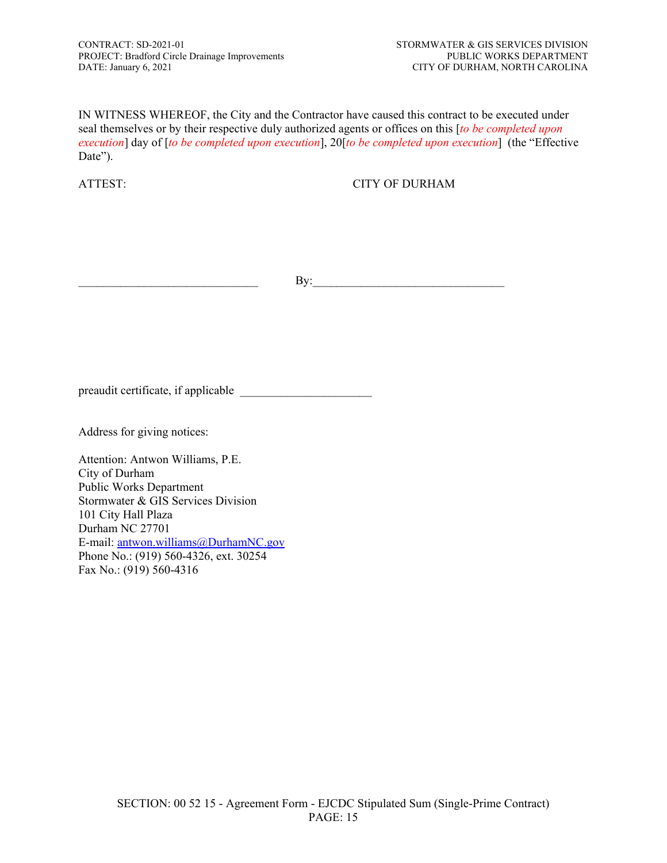IN WITNESS WHEREOF, the City and the Contractor have caused this contract to be executed under seal themselves or by their respective duly authorized agents or offices on this [*to be completed upon execution*] day of [*to be completed upon execution*], 20[*to be completed upon execution*] (the "Effective Date").

ATTEST: CITY OF DURHAM

By:

preaudit certificate, if applicable \_\_\_\_\_\_\_\_\_\_\_\_\_\_\_\_\_\_\_\_\_\_

Address for giving notices:

Attention: Antwon Williams, P.E. City of Durham Public Works Department Stormwater & GIS Services Division 101 City Hall Plaza Durham NC 27701 E-mail: [antwon.williams@DurhamNC.gov](mailto:antwon.williams@DurhamNC.gov) Phone No.: (919) 560-4326, ext. 30254 Fax No.: (919) 560-4316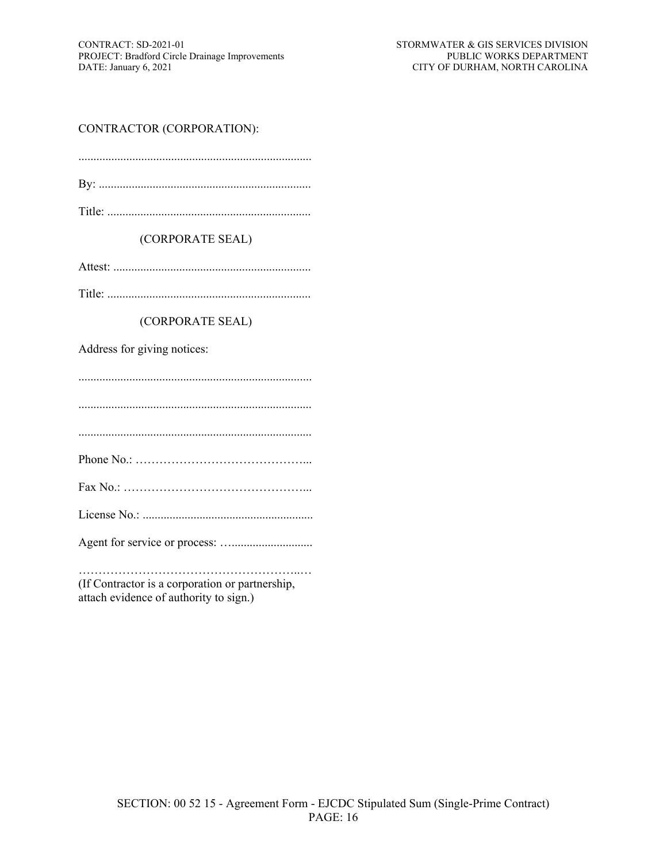### CONTRACTOR (CORPORATION):

#### (CORPORATE SEAL)

Attest: ..................................................................

Title: ....................................................................

#### (CORPORATE SEAL)

Address for giving notices:

..............................................................................

..............................................................................

..............................................................................

Phone No.: ……………………………………...

Fax No.: ………………………………………...

License No.: .........................................................

Agent for service or process: …...........................

………………………………………………..… (If Contractor is a corporation or partnership, attach evidence of authority to sign.)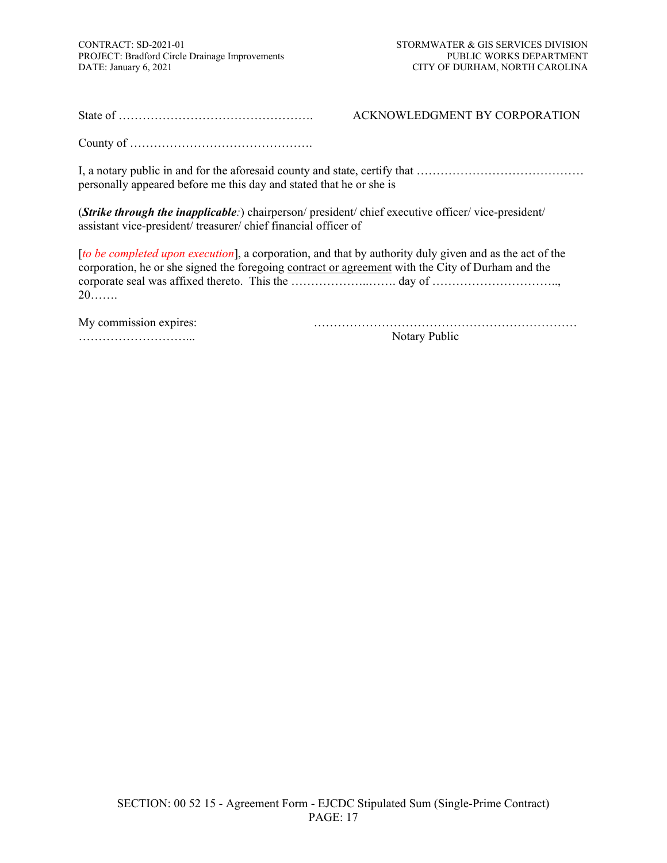State of …………………………………………. ACKNOWLEDGMENT BY CORPORATION

County of ……………………………………….

I, a notary public in and for the aforesaid county and state, certify that …………………………………… personally appeared before me this day and stated that he or she is

(*Strike through the inapplicable:*) chairperson/ president/ chief executive officer/ vice-president/ assistant vice-president/ treasurer/ chief financial officer of

[*to be completed upon execution*], a corporation, and that by authority duly given and as the act of the corporation, he or she signed the foregoing contract or agreement with the City of Durham and the corporate seal was affixed thereto. This the …………………………… day of ………………………………………… 20…….

| My commission expires: |  |
|------------------------|--|
|                        |  |

………………………... Notary Public

My commission expires: …………………………………………………………